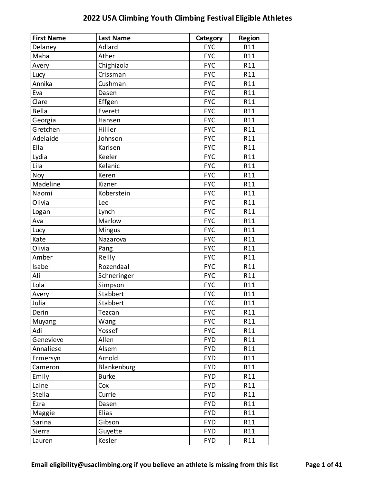| <b>First Name</b> | <b>Last Name</b> | Category   | <b>Region</b> |
|-------------------|------------------|------------|---------------|
| Delaney           | Adlard           | <b>FYC</b> | R11           |
| Maha              | Ather            | <b>FYC</b> | R11           |
| Avery             | Chighizola       | <b>FYC</b> | R11           |
| Lucy              | Crissman         | <b>FYC</b> | R11           |
| Annika            | Cushman          | <b>FYC</b> | R11           |
| Eva               | Dasen            | <b>FYC</b> | R11           |
| Clare             | Effgen           | <b>FYC</b> | R11           |
| <b>Bella</b>      | Everett          | <b>FYC</b> | R11           |
| Georgia           | Hansen           | <b>FYC</b> | R11           |
| Gretchen          | Hillier          | <b>FYC</b> | R11           |
| Adelaide          | Johnson          | <b>FYC</b> | R11           |
| Ella              | Karlsen          | <b>FYC</b> | R11           |
| Lydia             | Keeler           | <b>FYC</b> | R11           |
| Lila              | Kelanic          | <b>FYC</b> | R11           |
| Noy               | Keren            | <b>FYC</b> | R11           |
| Madeline          | Kizner           | <b>FYC</b> | R11           |
| Naomi             | Koberstein       | <b>FYC</b> | R11           |
| Olivia            | Lee              | <b>FYC</b> | R11           |
| Logan             | Lynch            | <b>FYC</b> | R11           |
| Ava               | Marlow           | <b>FYC</b> | R11           |
| Lucy              | Mingus           | <b>FYC</b> | R11           |
| Kate              | Nazarova         | <b>FYC</b> | R11           |
| Olivia            | Pang             | <b>FYC</b> | R11           |
| Amber             | Reilly           | <b>FYC</b> | R11           |
| Isabel            | Rozendaal        | <b>FYC</b> | R11           |
| Ali               | Schneringer      | <b>FYC</b> | R11           |
| Lola              | Simpson          | <b>FYC</b> | R11           |
| Avery             | Stabbert         | <b>FYC</b> | R11           |
| Julia             | Stabbert         | <b>FYC</b> | R11           |
| Derin             | Tezcan           | <b>FYC</b> | R11           |
| Muyang            | Wang             | <b>FYC</b> | R11           |
| Adi               | Yossef           | <b>FYC</b> | R11           |
| Genevieve         | Allen            | <b>FYD</b> | R11           |
| Annaliese         | Alsem            | <b>FYD</b> | R11           |
| Ermersyn          | Arnold           | <b>FYD</b> | R11           |
| Cameron           | Blankenburg      | <b>FYD</b> | R11           |
| Emily             | <b>Burke</b>     | <b>FYD</b> | R11           |
| Laine             | Cox              | <b>FYD</b> | R11           |
| Stella            | Currie           | <b>FYD</b> | R11           |
| Ezra              | Dasen            | <b>FYD</b> | R11           |
| Maggie            | Elias            | <b>FYD</b> | R11           |
| Sarina            | Gibson           | <b>FYD</b> | R11           |
| Sierra            | Guyette          | <b>FYD</b> | R11           |
| Lauren            | Kesler           | <b>FYD</b> | R11           |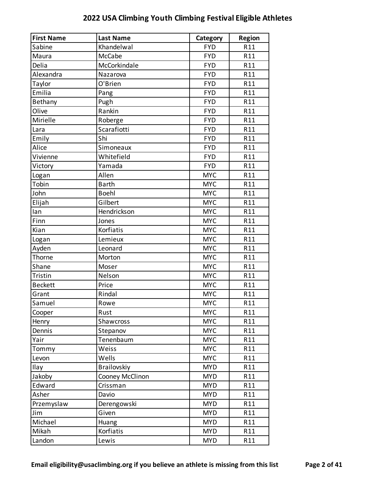| <b>First Name</b> | <b>Last Name</b> | Category   | <b>Region</b> |
|-------------------|------------------|------------|---------------|
| Sabine            | Khandelwal       | <b>FYD</b> | R11           |
| Maura             | McCabe           | <b>FYD</b> | R11           |
| Delia             | McCorkindale     | <b>FYD</b> | R11           |
| Alexandra         | Nazarova         | <b>FYD</b> | R11           |
| Taylor            | O'Brien          | <b>FYD</b> | R11           |
| Emilia            | Pang             | <b>FYD</b> | R11           |
| Bethany           | Pugh             | <b>FYD</b> | R11           |
| Olive             | Rankin           | <b>FYD</b> | R11           |
| Mirielle          | Roberge          | <b>FYD</b> | R11           |
| Lara              | Scarafiotti      | <b>FYD</b> | R11           |
| Emily             | Shi              | <b>FYD</b> | R11           |
| Alice             | Simoneaux        | <b>FYD</b> | R11           |
| Vivienne          | Whitefield       | <b>FYD</b> | R11           |
| Victory           | Yamada           | <b>FYD</b> | R11           |
| Logan             | Allen            | <b>MYC</b> | R11           |
| Tobin             | <b>Barth</b>     | <b>MYC</b> | R11           |
| John              | <b>Boehl</b>     | <b>MYC</b> | R11           |
| Elijah            | Gilbert          | <b>MYC</b> | R11           |
| lan               | Hendrickson      | <b>MYC</b> | R11           |
| Finn              | Jones            | <b>MYC</b> | R11           |
| Kian              | Korfiatis        | <b>MYC</b> | R11           |
| Logan             | Lemieux          | <b>MYC</b> | R11           |
| Ayden             | Leonard          | <b>MYC</b> | R11           |
| Thorne            | Morton           | <b>MYC</b> | R11           |
| Shane             | Moser            | <b>MYC</b> | R11           |
| Tristin           | Nelson           | <b>MYC</b> | R11           |
| <b>Beckett</b>    | Price            | <b>MYC</b> | R11           |
| Grant             | Rindal           | <b>MYC</b> | R11           |
| Samuel            | Rowe             | <b>MYC</b> | R11           |
| Cooper            | Rust             | <b>MYC</b> | R11           |
| Henry             | Shawcross        | <b>MYC</b> | R11           |
| Dennis            | Stepanov         | <b>MYC</b> | R11           |
| Yair              | Tenenbaum        | <b>MYC</b> | R11           |
| Tommy             | Weiss            | <b>MYC</b> | R11           |
| Levon             | Wells            | <b>MYC</b> | R11           |
| Ilay              | Brailovskiy      | <b>MYD</b> | R11           |
| Jakoby            | Cooney McClinon  | <b>MYD</b> | R11           |
| Edward            | Crissman         | <b>MYD</b> | R11           |
| Asher             | Davio            | <b>MYD</b> | R11           |
| Przemyslaw        | Derengowski      | <b>MYD</b> | R11           |
| Jim               | Given            | <b>MYD</b> | R11           |
| Michael           | Huang            | <b>MYD</b> | R11           |
| Mikah             | Korfiatis        | <b>MYD</b> | R11           |
| Landon            | Lewis            | <b>MYD</b> | R11           |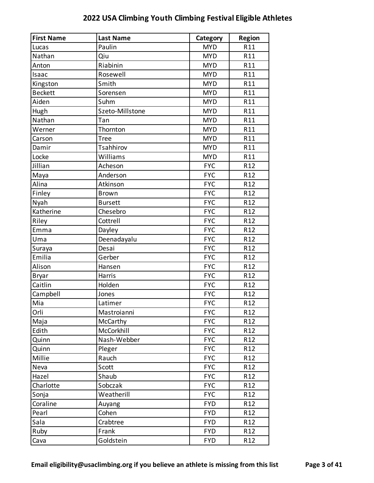| <b>First Name</b> | <b>Last Name</b> | Category   | <b>Region</b>   |
|-------------------|------------------|------------|-----------------|
| Lucas             | Paulin           | <b>MYD</b> | R11             |
| Nathan            | Qiu              | <b>MYD</b> | R11             |
| Anton             | Riabinin         | <b>MYD</b> | R11             |
| Isaac             | Rosewell         | <b>MYD</b> | R11             |
| Kingston          | Smith            | <b>MYD</b> | R11             |
| <b>Beckett</b>    | Sorensen         | <b>MYD</b> | R11             |
| Aiden             | Suhm             | <b>MYD</b> | R11             |
| Hugh              | Szeto-Millstone  | <b>MYD</b> | R11             |
| Nathan            | Tan              | <b>MYD</b> | R11             |
| Werner            | Thornton         | <b>MYD</b> | R11             |
| Carson            | <b>Tree</b>      | <b>MYD</b> | R11             |
| Damir             | Tsahhirov        | <b>MYD</b> | R11             |
| Locke             | Williams         | <b>MYD</b> | R11             |
| Jillian           | Acheson          | <b>FYC</b> | R <sub>12</sub> |
| Maya              | Anderson         | <b>FYC</b> | R <sub>12</sub> |
| Alina             | Atkinson         | <b>FYC</b> | R <sub>12</sub> |
| Finley            | <b>Brown</b>     | <b>FYC</b> | R <sub>12</sub> |
| Nyah              | <b>Bursett</b>   | <b>FYC</b> | R <sub>12</sub> |
| Katherine         | Chesebro         | <b>FYC</b> | R <sub>12</sub> |
| Riley             | Cottrell         | <b>FYC</b> | R <sub>12</sub> |
| Emma              | Dayley           | <b>FYC</b> | R <sub>12</sub> |
| Uma               | Deenadayalu      | <b>FYC</b> | R <sub>12</sub> |
| Suraya            | Desai            | <b>FYC</b> | R <sub>12</sub> |
| Emilia            | Gerber           | <b>FYC</b> | R <sub>12</sub> |
| Alison            | Hansen           | <b>FYC</b> | R <sub>12</sub> |
| <b>Bryar</b>      | Harris           | <b>FYC</b> | R <sub>12</sub> |
| Caitlin           | Holden           | <b>FYC</b> | R <sub>12</sub> |
| Campbell          | Jones            | <b>FYC</b> | R <sub>12</sub> |
| Mia               | Latimer          | <b>FYC</b> | R12             |
| Orli              | Mastroianni      | <b>FYC</b> | R <sub>12</sub> |
| Maja              | McCarthy         | <b>FYC</b> | R12             |
| Edith             | McCorkhill       | <b>FYC</b> | R <sub>12</sub> |
| Quinn             | Nash-Webber      | <b>FYC</b> | R12             |
| Quinn             | Pleger           | <b>FYC</b> | R <sub>12</sub> |
| Millie            | Rauch            | <b>FYC</b> | R <sub>12</sub> |
| Neva              | Scott            | <b>FYC</b> | R <sub>12</sub> |
| Hazel             | Shaub            | <b>FYC</b> | R <sub>12</sub> |
| Charlotte         | Sobczak          | <b>FYC</b> | R <sub>12</sub> |
| Sonja             | Weatherill       | <b>FYC</b> | R <sub>12</sub> |
| Coraline          | Auyang           | <b>FYD</b> | R <sub>12</sub> |
| Pearl             | Cohen            | <b>FYD</b> | R <sub>12</sub> |
| Sala              | Crabtree         | <b>FYD</b> | R <sub>12</sub> |
| Ruby              | Frank            | <b>FYD</b> | R <sub>12</sub> |
| Cava              | Goldstein        | <b>FYD</b> | R <sub>12</sub> |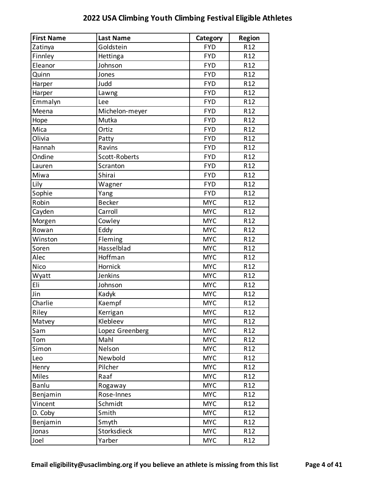| <b>First Name</b> | <b>Last Name</b> | Category   | <b>Region</b>   |
|-------------------|------------------|------------|-----------------|
| Zatinya           | Goldstein        | <b>FYD</b> | R <sub>12</sub> |
| Finnley           | Hettinga         | <b>FYD</b> | R <sub>12</sub> |
| Eleanor           | Johnson          | <b>FYD</b> | R <sub>12</sub> |
| Quinn             | Jones            | <b>FYD</b> | R <sub>12</sub> |
| Harper            | Judd             | <b>FYD</b> | R <sub>12</sub> |
| Harper            | Lawng            | <b>FYD</b> | R <sub>12</sub> |
| Emmalyn           | Lee              | <b>FYD</b> | R <sub>12</sub> |
| Meena             | Michelon-meyer   | <b>FYD</b> | R <sub>12</sub> |
| Hope              | Mutka            | <b>FYD</b> | R <sub>12</sub> |
| Mica              | Ortiz            | <b>FYD</b> | R <sub>12</sub> |
| Olivia            | Patty            | <b>FYD</b> | R <sub>12</sub> |
| Hannah            | Ravins           | <b>FYD</b> | R <sub>12</sub> |
| Ondine            | Scott-Roberts    | <b>FYD</b> | R <sub>12</sub> |
| Lauren            | Scranton         | <b>FYD</b> | R <sub>12</sub> |
| Miwa              | Shirai           | <b>FYD</b> | R <sub>12</sub> |
| Lily              | Wagner           | <b>FYD</b> | R <sub>12</sub> |
| Sophie            | Yang             | <b>FYD</b> | R <sub>12</sub> |
| Robin             | <b>Becker</b>    | <b>MYC</b> | R <sub>12</sub> |
| Cayden            | Carroll          | <b>MYC</b> | R <sub>12</sub> |
| Morgen            | Cowley           | <b>MYC</b> | R <sub>12</sub> |
| Rowan             | Eddy             | <b>MYC</b> | R <sub>12</sub> |
| Winston           | Fleming          | <b>MYC</b> | R <sub>12</sub> |
| Soren             | Hasselblad       | <b>MYC</b> | R <sub>12</sub> |
| Alec              | Hoffman          | <b>MYC</b> | R <sub>12</sub> |
| Nico              | Hornick          | <b>MYC</b> | R <sub>12</sub> |
| Wyatt             | Jenkins          | <b>MYC</b> | R <sub>12</sub> |
| Eli               | Johnson          | <b>MYC</b> | R <sub>12</sub> |
| Jin               | Kadyk            | <b>MYC</b> | R <sub>12</sub> |
| Charlie           | Kaempf           | <b>MYC</b> | R <sub>12</sub> |
| Riley             | Kerrigan         | <b>MYC</b> | R <sub>12</sub> |
| Matvey            | Klebleev         | <b>MYC</b> | R <sub>12</sub> |
| Sam               | Lopez Greenberg  | <b>MYC</b> | R <sub>12</sub> |
| Tom               | Mahl             | <b>MYC</b> | R12             |
| Simon             | Nelson           | <b>MYC</b> | R <sub>12</sub> |
| Leo               | Newbold          | <b>MYC</b> | R <sub>12</sub> |
| Henry             | Pilcher          | <b>MYC</b> | R <sub>12</sub> |
| <b>Miles</b>      | Raaf             | <b>MYC</b> | R <sub>12</sub> |
| Banlu             | Rogaway          | <b>MYC</b> | R <sub>12</sub> |
| Benjamin          | Rose-Innes       | <b>MYC</b> | R <sub>12</sub> |
| Vincent           | Schmidt          | <b>MYC</b> | R <sub>12</sub> |
| D. Coby           | Smith            | <b>MYC</b> | R <sub>12</sub> |
| Benjamin          | Smyth            | <b>MYC</b> | R <sub>12</sub> |
| Jonas             | Storksdieck      | <b>MYC</b> | R12             |
| Joel              | Yarber           | <b>MYC</b> | R12             |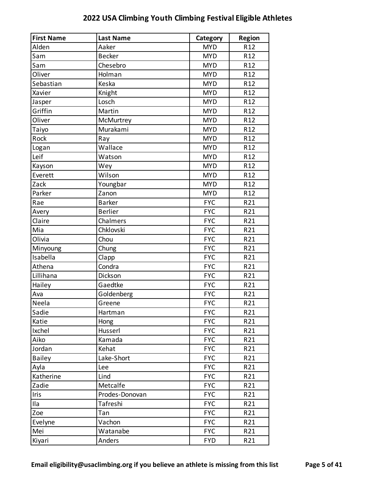| <b>First Name</b> | <b>Last Name</b> | Category   | <b>Region</b>   |
|-------------------|------------------|------------|-----------------|
| Alden             | Aaker            | <b>MYD</b> | R <sub>12</sub> |
| Sam               | <b>Becker</b>    | <b>MYD</b> | R12             |
| Sam               | Chesebro         | <b>MYD</b> | R <sub>12</sub> |
| Oliver            | Holman           | <b>MYD</b> | R <sub>12</sub> |
| Sebastian         | Keska            | <b>MYD</b> | R <sub>12</sub> |
| Xavier            | Knight           | <b>MYD</b> | R <sub>12</sub> |
| Jasper            | Losch            | <b>MYD</b> | R <sub>12</sub> |
| Griffin           | Martin           | <b>MYD</b> | R <sub>12</sub> |
| Oliver            | McMurtrey        | <b>MYD</b> | R <sub>12</sub> |
| Taiyo             | Murakami         | <b>MYD</b> | R <sub>12</sub> |
| Rock              | Ray              | <b>MYD</b> | R <sub>12</sub> |
| Logan             | Wallace          | <b>MYD</b> | R <sub>12</sub> |
| Leif              | Watson           | <b>MYD</b> | R <sub>12</sub> |
| Kayson            | Wey              | <b>MYD</b> | R <sub>12</sub> |
| Everett           | Wilson           | <b>MYD</b> | R <sub>12</sub> |
| Zack              | Youngbar         | <b>MYD</b> | R <sub>12</sub> |
| Parker            | Zanon            | <b>MYD</b> | R <sub>12</sub> |
| Rae               | <b>Barker</b>    | <b>FYC</b> | R21             |
| Avery             | <b>Berlier</b>   | <b>FYC</b> | R21             |
| Claire            | Chalmers         | <b>FYC</b> | R21             |
| Mia               | Chklovski        | <b>FYC</b> | R21             |
| Olivia            | Chou             | <b>FYC</b> | R21             |
| Minyoung          | Chung            | <b>FYC</b> | R21             |
| Isabella          | Clapp            | <b>FYC</b> | R21             |
| Athena            | Condra           | <b>FYC</b> | R21             |
| Lillihana         | Dickson          | <b>FYC</b> | R21             |
| Hailey            | Gaedtke          | <b>FYC</b> | R21             |
| Ava               | Goldenberg       | <b>FYC</b> | R21             |
| Neela             | Greene           | <b>FYC</b> | R21             |
| Sadie             | Hartman          | <b>FYC</b> | R21             |
| Katie             | Hong             | <b>FYC</b> | R21             |
| Ixchel            | Husserl          | <b>FYC</b> | R21             |
| Aiko              | Kamada           | <b>FYC</b> | R21             |
| Jordan            | Kehat            | <b>FYC</b> | R21             |
| <b>Bailey</b>     | Lake-Short       | <b>FYC</b> | R21             |
| Ayla              | Lee              | <b>FYC</b> | R21             |
| Katherine         | Lind             | <b>FYC</b> | R21             |
| Zadie             | Metcalfe         | <b>FYC</b> | R21             |
| Iris              | Prodes-Donovan   | <b>FYC</b> | R21             |
| Ila               | Tafreshi         | <b>FYC</b> | R21             |
| Zoe               | Tan              | <b>FYC</b> | R21             |
| Evelyne           | Vachon           | <b>FYC</b> | R21             |
| Mei               | Watanabe         | <b>FYC</b> | R21             |
| Kiyari            | Anders           | <b>FYD</b> | R21             |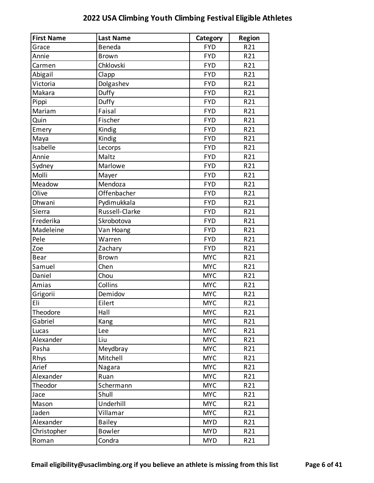| <b>First Name</b> | <b>Last Name</b> | Category   | <b>Region</b> |
|-------------------|------------------|------------|---------------|
| Grace             | Beneda           | <b>FYD</b> | R21           |
| Annie             | <b>Brown</b>     | <b>FYD</b> | R21           |
| Carmen            | Chklovski        | <b>FYD</b> | R21           |
| Abigail           | Clapp            | <b>FYD</b> | R21           |
| Victoria          | Dolgashev        | <b>FYD</b> | R21           |
| Makara            | Duffy            | <b>FYD</b> | R21           |
| Pippi             | Duffy            | <b>FYD</b> | R21           |
| Mariam            | Faisal           | <b>FYD</b> | R21           |
| Quin              | Fischer          | <b>FYD</b> | R21           |
| Emery             | Kindig           | <b>FYD</b> | R21           |
| Maya              | Kindig           | <b>FYD</b> | R21           |
| Isabelle          | Lecorps          | <b>FYD</b> | R21           |
| Annie             | Maltz            | <b>FYD</b> | R21           |
| Sydney            | Marlowe          | <b>FYD</b> | R21           |
| Molli             | Mayer            | <b>FYD</b> | R21           |
| Meadow            | Mendoza          | <b>FYD</b> | R21           |
| Olive             | Offenbacher      | <b>FYD</b> | R21           |
| Dhwani            | Pydimukkala      | <b>FYD</b> | R21           |
| Sierra            | Russell-Clarke   | <b>FYD</b> | R21           |
| Frederika         | Skrobotova       | <b>FYD</b> | R21           |
| Madeleine         | Van Hoang        | <b>FYD</b> | R21           |
| Pele              | Warren           | <b>FYD</b> | R21           |
| Zoe               | Zachary          | <b>FYD</b> | R21           |
| Bear              | <b>Brown</b>     | <b>MYC</b> | R21           |
| Samuel            | Chen             | <b>MYC</b> | R21           |
| Daniel            | Chou             | <b>MYC</b> | R21           |
| Amias             | Collins          | <b>MYC</b> | R21           |
| Grigorii          | Demidov          | <b>MYC</b> | R21           |
| Eli               | Eilert           | <b>MYC</b> | R21           |
| Theodore          | Hall             | <b>MYC</b> | R21           |
| Gabriel           | Kang             | <b>MYC</b> | R21           |
| Lucas             | Lee              | <b>MYC</b> | R21           |
| Alexander         | Liu              | <b>MYC</b> | R21           |
| Pasha             | Meydbray         | <b>MYC</b> | R21           |
| Rhys              | Mitchell         | <b>MYC</b> | R21           |
| Arief             | Nagara           | <b>MYC</b> | R21           |
| Alexander         | Ruan             | <b>MYC</b> | R21           |
| Theodor           | Schermann        | <b>MYC</b> | R21           |
| Jace              | Shull            | <b>MYC</b> | R21           |
| Mason             | Underhill        | <b>MYC</b> | R21           |
| Jaden             | Villamar         | <b>MYC</b> | R21           |
| Alexander         | <b>Bailey</b>    | <b>MYD</b> | R21           |
| Christopher       | <b>Bowler</b>    | <b>MYD</b> | R21           |
| Roman             | Condra           | <b>MYD</b> | R21           |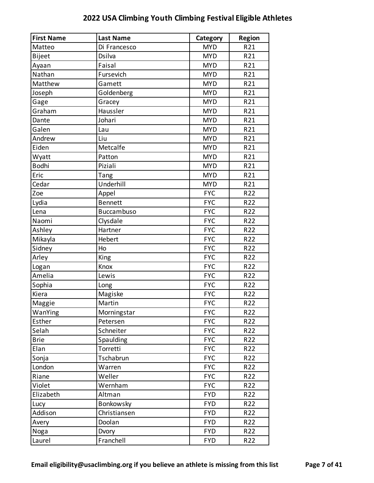| <b>First Name</b> | <b>Last Name</b>  | Category   | <b>Region</b> |
|-------------------|-------------------|------------|---------------|
| Matteo            | Di Francesco      | <b>MYD</b> | R21           |
| <b>Bijeet</b>     | Dsilva            | <b>MYD</b> | R21           |
| Ayaan             | Faisal            | <b>MYD</b> | R21           |
| Nathan            | Fursevich         | <b>MYD</b> | R21           |
| Matthew           | Gamett            | <b>MYD</b> | R21           |
| Joseph            | Goldenberg        | <b>MYD</b> | R21           |
| Gage              | Gracey            | <b>MYD</b> | R21           |
| Graham            | Haussler          | <b>MYD</b> | R21           |
| Dante             | Johari            | <b>MYD</b> | R21           |
| Galen             | Lau               | <b>MYD</b> | R21           |
| Andrew            | Liu               | <b>MYD</b> | R21           |
| Eiden             | Metcalfe          | <b>MYD</b> | R21           |
| Wyatt             | Patton            | <b>MYD</b> | R21           |
| <b>Bodhi</b>      | Piziali           | <b>MYD</b> | R21           |
| Eric              | Tang              | <b>MYD</b> | R21           |
| Cedar             | Underhill         | <b>MYD</b> | R21           |
| Zoe               | Appel             | <b>FYC</b> | R22           |
| Lydia             | <b>Bennett</b>    | <b>FYC</b> | R22           |
| Lena              | <b>Buccambuso</b> | <b>FYC</b> | R22           |
| Naomi             | Clysdale          | <b>FYC</b> | R22           |
| Ashley            | Hartner           | <b>FYC</b> | R22           |
| Mikayla           | Hebert            | <b>FYC</b> | R22           |
| Sidney            | Ho                | <b>FYC</b> | R22           |
| Arley             | King              | <b>FYC</b> | R22           |
| Logan             | Knox              | <b>FYC</b> | R22           |
| Amelia            | Lewis             | <b>FYC</b> | R22           |
| Sophia            | Long              | <b>FYC</b> | R22           |
| Kiera             | Magiske           | <b>FYC</b> | R22           |
| Maggie            | Martin            | <b>FYC</b> | R22           |
| WanYing           | Morningstar       | <b>FYC</b> | R22           |
| Esther            | Petersen          | <b>FYC</b> | R22           |
| Selah             | Schneiter         | <b>FYC</b> | R22           |
| <b>Brie</b>       | Spaulding         | <b>FYC</b> | R22           |
| Elan              | Torretti          | <b>FYC</b> | R22           |
| Sonja             | Tschabrun         | <b>FYC</b> | R22           |
| London            | Warren            | <b>FYC</b> | R22           |
| Riane             | Weller            | <b>FYC</b> | R22           |
| Violet            | Wernham           | <b>FYC</b> | R22           |
| Elizabeth         | Altman            | <b>FYD</b> | R22           |
| Lucy              | Bonkowsky         | <b>FYD</b> | R22           |
| Addison           | Christiansen      | <b>FYD</b> | R22           |
| Avery             | Doolan            | <b>FYD</b> | R22           |
| Noga              | Dvory             | <b>FYD</b> | R22           |
| Laurel            | Franchell         | <b>FYD</b> | R22           |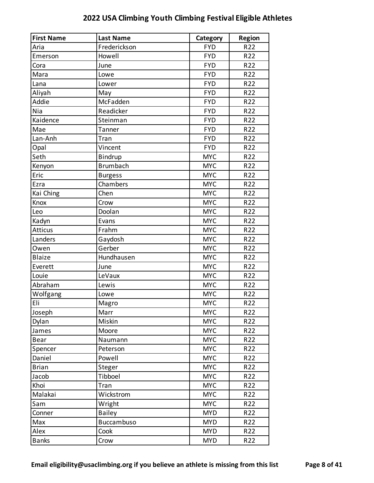| <b>First Name</b> | <b>Last Name</b>  | Category   | <b>Region</b> |
|-------------------|-------------------|------------|---------------|
| Aria              | Frederickson      | <b>FYD</b> | R22           |
| Emerson           | Howell            | <b>FYD</b> | R22           |
| Cora              | June              | <b>FYD</b> | R22           |
| Mara              | Lowe              | <b>FYD</b> | R22           |
| Lana              | Lower             | <b>FYD</b> | R22           |
| Aliyah            | May               | <b>FYD</b> | R22           |
| Addie             | McFadden          | <b>FYD</b> | R22           |
| Nia               | Readicker         | <b>FYD</b> | R22           |
| Kaidence          | Steinman          | <b>FYD</b> | R22           |
| Mae               | Tanner            | <b>FYD</b> | R22           |
| Lan-Anh           | Tran              | <b>FYD</b> | R22           |
| Opal              | Vincent           | <b>FYD</b> | R22           |
| Seth              | <b>Bindrup</b>    | <b>MYC</b> | R22           |
| Kenyon            | <b>Brumbach</b>   | <b>MYC</b> | R22           |
| Eric              | <b>Burgess</b>    | <b>MYC</b> | R22           |
| Ezra              | Chambers          | <b>MYC</b> | R22           |
| Kai Ching         | Chen              | <b>MYC</b> | R22           |
| Knox              | Crow              | <b>MYC</b> | R22           |
| Leo               | Doolan            | <b>MYC</b> | R22           |
| Kadyn             | Evans             | <b>MYC</b> | R22           |
| <b>Atticus</b>    | Frahm             | <b>MYC</b> | R22           |
| Landers           | Gaydosh           | <b>MYC</b> | R22           |
| Owen              | Gerber            | <b>MYC</b> | R22           |
| <b>Blaize</b>     | Hundhausen        | <b>MYC</b> | R22           |
| Everett           | June              | <b>MYC</b> | R22           |
| Louie             | LeVaux            | <b>MYC</b> | R22           |
| Abraham           | Lewis             | <b>MYC</b> | R22           |
| Wolfgang          | Lowe              | <b>MYC</b> | R22           |
| Eli               | Magro             | <b>MYC</b> | R22           |
| Joseph            | Marr              | <b>MYC</b> | R22           |
| Dylan             | Miskin            | <b>MYC</b> | R22           |
| James             | Moore             | <b>MYC</b> | R22           |
| <b>Bear</b>       | Naumann           | <b>MYC</b> | R22           |
| Spencer           | Peterson          | <b>MYC</b> | R22           |
| Daniel            | Powell            | <b>MYC</b> | R22           |
| <b>Brian</b>      | Steger            | <b>MYC</b> | R22           |
| Jacob             | Tibboel           | <b>MYC</b> | R22           |
| Khoi              | Tran              | <b>MYC</b> | R22           |
| Malakai           | Wickstrom         | <b>MYC</b> | R22           |
| Sam               | Wright            | <b>MYC</b> | R22           |
| Conner            | <b>Bailey</b>     | <b>MYD</b> | R22           |
| Max               | <b>Buccambuso</b> | <b>MYD</b> | R22           |
| Alex              | Cook              | <b>MYD</b> | R22           |
| <b>Banks</b>      | Crow              | <b>MYD</b> | R22           |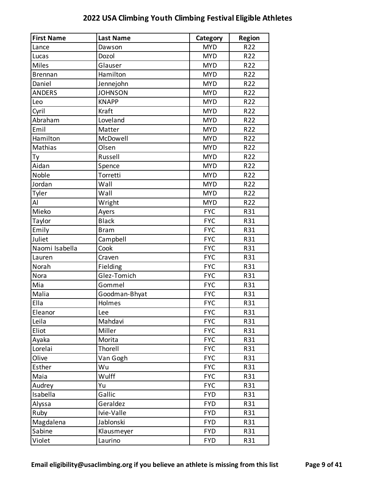| <b>First Name</b> | <b>Last Name</b> | Category   | <b>Region</b> |
|-------------------|------------------|------------|---------------|
| Lance             | Dawson           | <b>MYD</b> | R22           |
| Lucas             | Dozol            | <b>MYD</b> | R22           |
| <b>Miles</b>      | Glauser          | <b>MYD</b> | R22           |
| <b>Brennan</b>    | Hamilton         | <b>MYD</b> | R22           |
| Daniel            | Jennejohn        | <b>MYD</b> | R22           |
| <b>ANDERS</b>     | <b>JOHNSON</b>   | <b>MYD</b> | R22           |
| Leo               | <b>KNAPP</b>     | <b>MYD</b> | R22           |
| Cyril             | Kraft            | <b>MYD</b> | R22           |
| Abraham           | Loveland         | <b>MYD</b> | R22           |
| Emil              | Matter           | <b>MYD</b> | R22           |
| Hamilton          | McDowell         | <b>MYD</b> | R22           |
| Mathias           | Olsen            | <b>MYD</b> | R22           |
| Тy                | Russell          | <b>MYD</b> | R22           |
| Aidan             | Spence           | <b>MYD</b> | R22           |
| Noble             | Torretti         | <b>MYD</b> | R22           |
| Jordan            | Wall             | <b>MYD</b> | R22           |
| Tyler             | Wall             | <b>MYD</b> | R22           |
| Al                | Wright           | <b>MYD</b> | R22           |
| Mieko             | Ayers            | <b>FYC</b> | R31           |
| Taylor            | <b>Black</b>     | <b>FYC</b> | R31           |
| Emily             | <b>Bram</b>      | <b>FYC</b> | R31           |
| Juliet            | Campbell         | <b>FYC</b> | R31           |
| Naomi Isabella    | Cook             | <b>FYC</b> | R31           |
| Lauren            | Craven           | <b>FYC</b> | R31           |
| Norah             | Fielding         | <b>FYC</b> | R31           |
| <b>Nora</b>       | Glez-Tomich      | <b>FYC</b> | R31           |
| Mia               | Gommel           | <b>FYC</b> | R31           |
| Malia             | Goodman-Bhyat    | <b>FYC</b> | R31           |
| Ella              | Holmes           | <b>FYC</b> | R31           |
| Eleanor           | Lee              | <b>FYC</b> | R31           |
| Leila             | Mahdavi          | <b>FYC</b> | R31           |
| Eliot             | Miller           | <b>FYC</b> | R31           |
| Ayaka             | Morita           | <b>FYC</b> | R31           |
| Lorelai           | Thorell          | <b>FYC</b> | R31           |
| Olive             | Van Gogh         | <b>FYC</b> | R31           |
| Esther            | Wu               | <b>FYC</b> | R31           |
| Maia              | Wulff            | <b>FYC</b> | R31           |
| Audrey            | Yu               | <b>FYC</b> | R31           |
| Isabella          | Gallic           | <b>FYD</b> | R31           |
| Alyssa            | Geraldez         | <b>FYD</b> | R31           |
| Ruby              | Ivie-Valle       | <b>FYD</b> | R31           |
| Magdalena         | Jablonski        | <b>FYD</b> | R31           |
| Sabine            | Klausmeyer       | <b>FYD</b> | R31           |
| Violet            | Laurino          | <b>FYD</b> | R31           |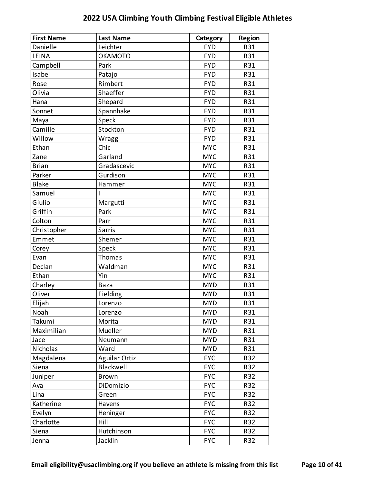| <b>First Name</b> | <b>Last Name</b>     | Category   | <b>Region</b> |
|-------------------|----------------------|------------|---------------|
| Danielle          | Leichter             | <b>FYD</b> | R31           |
| LEINA             | <b>OKAMOTO</b>       | <b>FYD</b> | R31           |
| Campbell          | Park                 | <b>FYD</b> | R31           |
| Isabel            | Patajo               | <b>FYD</b> | R31           |
| Rose              | Rimbert              | <b>FYD</b> | R31           |
| Olivia            | Shaeffer             | <b>FYD</b> | R31           |
| Hana              | Shepard              | <b>FYD</b> | R31           |
| Sonnet            | Spannhake            | <b>FYD</b> | R31           |
| Maya              | Speck                | <b>FYD</b> | R31           |
| Camille           | Stockton             | <b>FYD</b> | R31           |
| Willow            | Wragg                | <b>FYD</b> | R31           |
| Ethan             | Chic                 | <b>MYC</b> | R31           |
| Zane              | Garland              | <b>MYC</b> | R31           |
| <b>Brian</b>      | Gradascevic          | <b>MYC</b> | R31           |
| Parker            | Gurdison             | <b>MYC</b> | R31           |
| <b>Blake</b>      | Hammer               | <b>MYC</b> | R31           |
| Samuel            |                      | <b>MYC</b> | R31           |
| Giulio            | Margutti             | <b>MYC</b> | R31           |
| Griffin           | Park                 | <b>MYC</b> | R31           |
| Colton            | Parr                 | <b>MYC</b> | R31           |
| Christopher       | Sarris               | <b>MYC</b> | R31           |
| Emmet             | Shemer               | <b>MYC</b> | R31           |
| Corey             | Speck                | <b>MYC</b> | R31           |
| Evan              | Thomas               | <b>MYC</b> | R31           |
| Declan            | Waldman              | <b>MYC</b> | R31           |
| Ethan             | Yin                  | <b>MYC</b> | R31           |
| Charley           | <b>Baza</b>          | <b>MYD</b> | R31           |
| Oliver            | Fielding             | <b>MYD</b> | R31           |
| Elijah            | Lorenzo              | <b>MYD</b> | R31           |
| Noah              | Lorenzo              | <b>MYD</b> | R31           |
| Takumi            | Morita               | <b>MYD</b> | R31           |
| Maximilian        | Mueller              | <b>MYD</b> | R31           |
| Jace              | Neumann              | <b>MYD</b> | R31           |
| Nicholas          | Ward                 | <b>MYD</b> | R31           |
| Magdalena         | <b>Aguilar Ortiz</b> | <b>FYC</b> | R32           |
| Siena             | Blackwell            | <b>FYC</b> | R32           |
| Juniper           | <b>Brown</b>         | <b>FYC</b> | R32           |
| Ava               | DiDomizio            | <b>FYC</b> | R32           |
| Lina              | Green                | <b>FYC</b> | R32           |
| Katherine         | Havens               | <b>FYC</b> | R32           |
| Evelyn            | Heninger             | <b>FYC</b> | R32           |
| Charlotte         | Hill                 | <b>FYC</b> | R32           |
| Siena             | Hutchinson           | <b>FYC</b> | R32           |
| Jenna             | Jacklin              | <b>FYC</b> | R32           |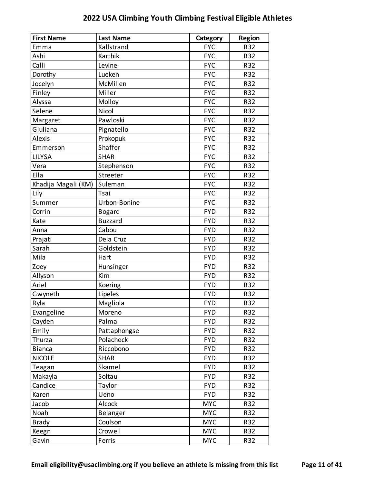| <b>First Name</b>   | <b>Last Name</b> | Category   | <b>Region</b> |
|---------------------|------------------|------------|---------------|
| Emma                | Kallstrand       | <b>FYC</b> | R32           |
| Ashi                | Karthik          | <b>FYC</b> | R32           |
| Calli               | Levine           | <b>FYC</b> | R32           |
| Dorothy             | Lueken           | <b>FYC</b> | R32           |
| Jocelyn             | McMillen         | <b>FYC</b> | R32           |
| Finley              | Miller           | <b>FYC</b> | R32           |
| Alyssa              | Molloy           | <b>FYC</b> | R32           |
| Selene              | Nicol            | <b>FYC</b> | R32           |
| Margaret            | Pawloski         | <b>FYC</b> | R32           |
| Giuliana            | Pignatello       | <b>FYC</b> | R32           |
| Alexis              | Prokopuk         | <b>FYC</b> | R32           |
| Emmerson            | Shaffer          | <b>FYC</b> | R32           |
| <b>LILYSA</b>       | <b>SHAR</b>      | <b>FYC</b> | R32           |
| Vera                | Stephenson       | <b>FYC</b> | R32           |
| Ella                | Streeter         | <b>FYC</b> | R32           |
| Khadija Magali (KM) | Suleman          | <b>FYC</b> | R32           |
| Lily                | Tsai             | <b>FYC</b> | R32           |
| Summer              | Urbon-Bonine     | <b>FYC</b> | R32           |
| Corrin              | <b>Bogard</b>    | <b>FYD</b> | R32           |
| Kate                | <b>Buzzard</b>   | <b>FYD</b> | R32           |
| Anna                | Cabou            | <b>FYD</b> | R32           |
| Prajati             | Dela Cruz        | <b>FYD</b> | R32           |
| Sarah               | Goldstein        | <b>FYD</b> | R32           |
| Mila                | Hart             | <b>FYD</b> | R32           |
| Zoey                | Hunsinger        | <b>FYD</b> | R32           |
| Allyson             | Kim              | <b>FYD</b> | R32           |
| Ariel               | Koering          | <b>FYD</b> | R32           |
| Gwyneth             | Lipeles          | <b>FYD</b> | R32           |
| Ryla                | Magliola         | <b>FYD</b> | R32           |
| Evangeline          | Moreno           | <b>FYD</b> | R32           |
| Cayden              | Palma            | <b>FYD</b> | R32           |
| Emily               | Pattaphongse     | <b>FYD</b> | R32           |
| Thurza              | Polacheck        | <b>FYD</b> | R32           |
| <b>Bianca</b>       | Riccobono        | <b>FYD</b> | R32           |
| <b>NICOLE</b>       | <b>SHAR</b>      | <b>FYD</b> | R32           |
| Teagan              | Skamel           | <b>FYD</b> | R32           |
| Makayla             | Soltau           | <b>FYD</b> | R32           |
| Candice             | Taylor           | <b>FYD</b> | R32           |
| Karen               | Ueno             | <b>FYD</b> | R32           |
| Jacob               | Alcock           | <b>MYC</b> | R32           |
| Noah                | Belanger         | <b>MYC</b> | R32           |
| <b>Brady</b>        | Coulson          | <b>MYC</b> | R32           |
| Keegn               | Crowell          | <b>MYC</b> | R32           |
| Gavin               | Ferris           | <b>MYC</b> | R32           |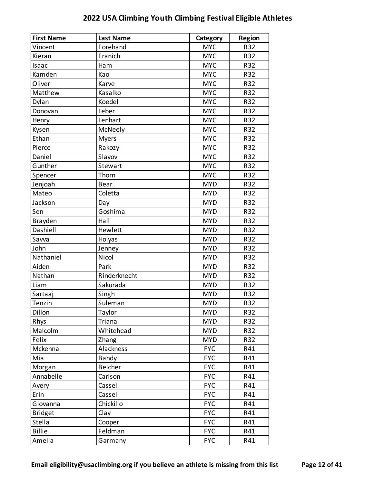| <b>First Name</b> | <b>Last Name</b> | Category   | <b>Region</b> |
|-------------------|------------------|------------|---------------|
| Vincent           | Forehand         | <b>MYC</b> | R32           |
| Kieran            | Franich          | <b>MYC</b> | R32           |
| Isaac             | Ham              | <b>MYC</b> | R32           |
| Kamden            | Kao              | <b>MYC</b> | R32           |
| Oliver            | Karve            | <b>MYC</b> | R32           |
| Matthew           | Kasalko          | <b>MYC</b> | R32           |
| Dylan             | Koedel           | <b>MYC</b> | R32           |
| Donovan           | Leber            | <b>MYC</b> | R32           |
| Henry             | Lenhart          | <b>MYC</b> | R32           |
| Kysen             | McNeely          | <b>MYC</b> | R32           |
| Ethan             | <b>Myers</b>     | <b>MYC</b> | R32           |
| Pierce            | Rakozy           | <b>MYC</b> | R32           |
| Daniel            | Slavov           | <b>MYC</b> | R32           |
| Gunther           | Stewart          | <b>MYC</b> | R32           |
| Spencer           | Thorn            | <b>MYC</b> | R32           |
| Jenjoah           | <b>Bear</b>      | <b>MYD</b> | R32           |
| Mateo             | Coletta          | <b>MYD</b> | R32           |
| Jackson           | Day              | <b>MYD</b> | R32           |
| Sen               | Goshima          | <b>MYD</b> | R32           |
| Brayden           | Hall             | <b>MYD</b> | R32           |
| Dashiell          | Hewlett          | <b>MYD</b> | R32           |
| Savva             | Holyas           | <b>MYD</b> | R32           |
| John              | Jenney           | <b>MYD</b> | R32           |
| Nathaniel         | Nicol            | <b>MYD</b> | R32           |
| Aiden             | Park             | <b>MYD</b> | R32           |
| Nathan            | Rinderknecht     | <b>MYD</b> | R32           |
| Liam              | Sakurada         | <b>MYD</b> | R32           |
| Sartaaj           | Singh            | <b>MYD</b> | R32           |
| Tenzin            | Suleman          | <b>MYD</b> | R32           |
| Dillon            | Taylor           | <b>MYD</b> | R32           |
| Rhys              | Triana           | <b>MYD</b> | R32           |
| Malcolm           | Whitehead        | <b>MYD</b> | R32           |
| Felix             | Zhang            | <b>MYD</b> | R32           |
| Mckenna           | Alackness        | <b>FYC</b> | R41           |
| Mia               | Bandy            | <b>FYC</b> | R41           |
| Morgan            | Belcher          | <b>FYC</b> | R41           |
| Annabelle         | Carlson          | <b>FYC</b> | R41           |
| Avery             | Cassel           | <b>FYC</b> | R41           |
| Erin              | Cassel           | <b>FYC</b> | R41           |
| Giovanna          | Chickillo        | <b>FYC</b> | R41           |
| <b>Bridget</b>    | Clay             | <b>FYC</b> | R41           |
| Stella            | Cooper           | <b>FYC</b> | R41           |
| <b>Billie</b>     | Feldman          | <b>FYC</b> | R41           |

Amelia Garmany FYC R41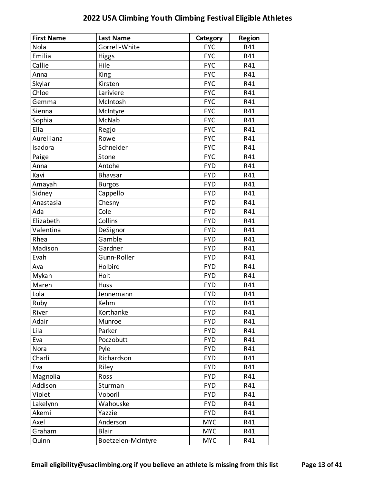| <b>First Name</b> | <b>Last Name</b>   | Category   | <b>Region</b> |
|-------------------|--------------------|------------|---------------|
| Nola              | Gorrell-White      | <b>FYC</b> | R41           |
| Emilia            | <b>Higgs</b>       | <b>FYC</b> | R41           |
| Callie            | Hile               | <b>FYC</b> | R41           |
| Anna              | King               | <b>FYC</b> | R41           |
| Skylar            | Kirsten            | <b>FYC</b> | R41           |
| Chloe             | Lariviere          | <b>FYC</b> | R41           |
| Gemma             | McIntosh           | <b>FYC</b> | R41           |
| Sienna            | McIntyre           | <b>FYC</b> | R41           |
| Sophia            | McNab              | <b>FYC</b> | R41           |
| Ella              | Regjo              | <b>FYC</b> | R41           |
| Aurelliana        | Rowe               | <b>FYC</b> | R41           |
| Isadora           | Schneider          | <b>FYC</b> | R41           |
| Paige             | Stone              | <b>FYC</b> | R41           |
| Anna              | Antohe             | <b>FYD</b> | R41           |
| Kavi              | Bhavsar            | <b>FYD</b> | R41           |
| Amayah            | <b>Burgos</b>      | <b>FYD</b> | R41           |
| Sidney            | Cappello           | <b>FYD</b> | R41           |
| Anastasia         | Chesny             | <b>FYD</b> | R41           |
| Ada               | Cole               | <b>FYD</b> | R41           |
| Elizabeth         | Collins            | <b>FYD</b> | R41           |
| Valentina         | DeSignor           | <b>FYD</b> | R41           |
| Rhea              | Gamble             | <b>FYD</b> | R41           |
| Madison           | Gardner            | <b>FYD</b> | R41           |
| Evah              | Gunn-Roller        | <b>FYD</b> | R41           |
| Ava               | Holbird            | <b>FYD</b> | R41           |
| Mykah             | Holt               | <b>FYD</b> | R41           |
| Maren             | <b>Huss</b>        | <b>FYD</b> | R41           |
| Lola              | Jennemann          | <b>FYD</b> | R41           |
| Ruby              | Kehm               | <b>FYD</b> | R41           |
| River             | Korthanke          | <b>FYD</b> | R41           |
| Adair             | Munroe             | <b>FYD</b> | R41           |
| Lila              | Parker             | <b>FYD</b> | R41           |
| Eva               | Poczobutt          | <b>FYD</b> | R41           |
| Nora              | Pyle               | <b>FYD</b> | R41           |
| Charli            | Richardson         | <b>FYD</b> | R41           |
| Eva               | Riley              | <b>FYD</b> | R41           |
| Magnolia          | Ross               | <b>FYD</b> | R41           |
| Addison           | Sturman            | <b>FYD</b> | R41           |
| Violet            | Voboril            | <b>FYD</b> | R41           |
| Lakelynn          | Wahouske           | <b>FYD</b> | R41           |
| Akemi             | Yazzie             | <b>FYD</b> | R41           |
| Axel              | Anderson           | <b>MYC</b> | R41           |
| Graham            | <b>Blair</b>       | <b>MYC</b> | R41           |
| Quinn             | Boetzelen-McIntyre | <b>MYC</b> | R41           |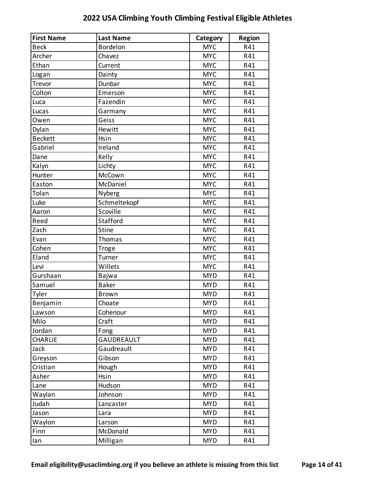| <b>First Name</b> | <b>Last Name</b> | Category   | <b>Region</b> |
|-------------------|------------------|------------|---------------|
| <b>Beck</b>       | <b>Bordelon</b>  | <b>MYC</b> | R41           |
| Archer            | Chavez           | <b>MYC</b> | R41           |
| Ethan             | Current          | <b>MYC</b> | R41           |
| Logan             | Dainty           | <b>MYC</b> | R41           |
| Trevor            | Dunbar           | <b>MYC</b> | R41           |
| Colton            | Emerson          | <b>MYC</b> | R41           |
| Luca              | Fazendin         | <b>MYC</b> | R41           |
| Lucas             | Garmany          | <b>MYC</b> | R41           |
| Owen              | Geiss            | <b>MYC</b> | R41           |
| Dylan             | Hewitt           | <b>MYC</b> | R41           |
| <b>Beckett</b>    | Hsin             | <b>MYC</b> | R41           |
| Gabriel           | Ireland          | <b>MYC</b> | R41           |
| Dane              | Kelly            | <b>MYC</b> | R41           |
| Kalyn             | Lichty           | <b>MYC</b> | R41           |
| Hunter            | McCown           | <b>MYC</b> | R41           |
| Easton            | McDaniel         | <b>MYC</b> | R41           |
| Tolan             | Nyberg           | <b>MYC</b> | R41           |
| Luke              | Schmeltekopf     | <b>MYC</b> | R41           |
| Aaron             | Scoville         | <b>MYC</b> | R41           |
| Reed              | Stafford         | <b>MYC</b> | R41           |
| Zach              | <b>Stine</b>     | <b>MYC</b> | R41           |
| Evan              | Thomas           | <b>MYC</b> | R41           |
| Cohen             | Troge            | <b>MYC</b> | R41           |
| Eland             | Turner           | <b>MYC</b> | R41           |
| Levi              | Willets          | <b>MYC</b> | R41           |
| Gurshaan          | Bajwa            | <b>MYD</b> | R41           |
| Samuel            | <b>Baker</b>     | <b>MYD</b> | R41           |
| Tyler             | <b>Brown</b>     | <b>MYD</b> | R41           |
| Benjamin          | Choate           | <b>MYD</b> | R41           |
| Lawson            | Cohenour         | <b>MYD</b> | R41           |
| Milo              | Craft            | <b>MYD</b> | R41           |
| Jordan            | Fong             | <b>MYD</b> | R41           |
| <b>CHARLIE</b>    | GAUDREAULT       | <b>MYD</b> | R41           |
| Jack              | Gaudreault       | <b>MYD</b> | R41           |
| Greyson           | Gibson           | <b>MYD</b> | R41           |
| Cristian          | Hough            | <b>MYD</b> | R41           |
| Asher             | Hsin             | <b>MYD</b> | R41           |
| Lane              | Hudson           | <b>MYD</b> | R41           |
| Waylan            | Johnson          | <b>MYD</b> | R41           |
| Judah             | Lancaster        | <b>MYD</b> | R41           |
| Jason             | Lara             | <b>MYD</b> | R41           |
| Waylon            | Larson           | <b>MYD</b> | R41           |
| Finn              | McDonald         | <b>MYD</b> | R41           |
| lan               | Milligan         | <b>MYD</b> | R41           |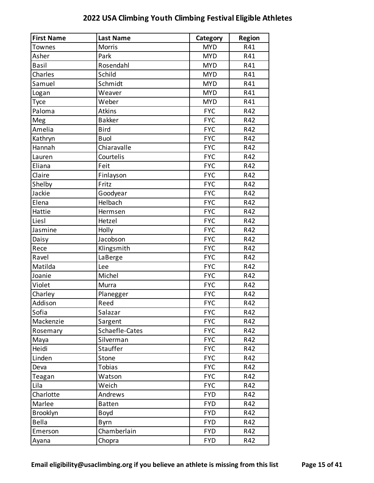| <b>First Name</b> | <b>Last Name</b> | Category   | Region |
|-------------------|------------------|------------|--------|
| Townes            | <b>Morris</b>    | <b>MYD</b> | R41    |
| Asher             | Park             | <b>MYD</b> | R41    |
| <b>Basil</b>      | Rosendahl        | <b>MYD</b> | R41    |
| Charles           | Schild           | <b>MYD</b> | R41    |
| Samuel            | Schmidt          | <b>MYD</b> | R41    |
| Logan             | Weaver           | <b>MYD</b> | R41    |
| Tyce              | Weber            | <b>MYD</b> | R41    |
| Paloma            | <b>Atkins</b>    | <b>FYC</b> | R42    |
| Meg               | <b>Bakker</b>    | <b>FYC</b> | R42    |
| Amelia            | <b>Bird</b>      | <b>FYC</b> | R42    |
| Kathryn           | <b>Buol</b>      | <b>FYC</b> | R42    |
| Hannah            | Chiaravalle      | <b>FYC</b> | R42    |
| Lauren            | Courtelis        | <b>FYC</b> | R42    |
| Eliana            | Feit             | <b>FYC</b> | R42    |
| Claire            | Finlayson        | <b>FYC</b> | R42    |
| Shelby            | Fritz            | <b>FYC</b> | R42    |
| Jackie            | Goodyear         | <b>FYC</b> | R42    |
| Elena             | Helbach          | <b>FYC</b> | R42    |
| Hattie            | Hermsen          | <b>FYC</b> | R42    |
| Liesl             | Hetzel           | <b>FYC</b> | R42    |
| Jasmine           | Holly            | <b>FYC</b> | R42    |
| Daisy             | Jacobson         | <b>FYC</b> | R42    |
| Rece              | Klingsmith       | <b>FYC</b> | R42    |
| Ravel             | LaBerge          | <b>FYC</b> | R42    |
| Matilda           | Lee              | <b>FYC</b> | R42    |
| Joanie            | Michel           | <b>FYC</b> | R42    |
| Violet            | Murra            | <b>FYC</b> | R42    |
| Charley           | Planegger        | <b>FYC</b> | R42    |
| Addison           | Reed             | <b>FYC</b> | R42    |
| Sofia             | Salazar          | <b>FYC</b> | R42    |
| Mackenzie         | Sargent          | <b>FYC</b> | R42    |
| Rosemary          | Schaefle-Cates   | <b>FYC</b> | R42    |
| Maya              | Silverman        | <b>FYC</b> | R42    |
| Heidi             | Stauffer         | <b>FYC</b> | R42    |
| Linden            | Stone            | <b>FYC</b> | R42    |
| Deva              | Tobias           | <b>FYC</b> | R42    |
| Teagan            | Watson           | <b>FYC</b> | R42    |
| Lila              | Weich            | <b>FYC</b> | R42    |
| Charlotte         | Andrews          | <b>FYD</b> | R42    |
| Marlee            | <b>Batten</b>    | <b>FYD</b> | R42    |
| Brooklyn          | Boyd             | <b>FYD</b> | R42    |
| <b>Bella</b>      | <b>Byrn</b>      | <b>FYD</b> | R42    |
| Emerson           | Chamberlain      | <b>FYD</b> | R42    |
| Ayana             | Chopra           | <b>FYD</b> | R42    |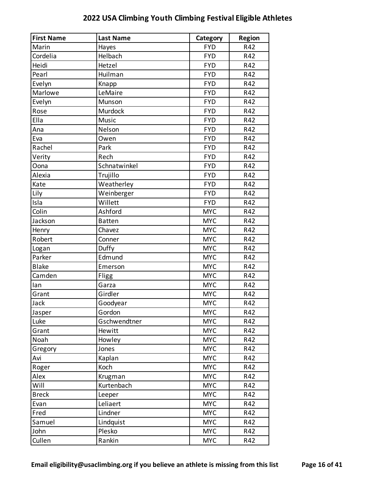| <b>First Name</b> | <b>Last Name</b> | Category   | <b>Region</b> |
|-------------------|------------------|------------|---------------|
| Marin             | Hayes            | <b>FYD</b> | R42           |
| Cordelia          | Helbach          | <b>FYD</b> | R42           |
| Heidi             | Hetzel           | <b>FYD</b> | R42           |
| Pearl             | Huilman          | <b>FYD</b> | R42           |
| Evelyn            | Knapp            | <b>FYD</b> | R42           |
| Marlowe           | LeMaire          | <b>FYD</b> | R42           |
| Evelyn            | Munson           | <b>FYD</b> | R42           |
| Rose              | Murdock          | <b>FYD</b> | R42           |
| Ella              | Music            | <b>FYD</b> | R42           |
| Ana               | Nelson           | <b>FYD</b> | R42           |
| Eva               | Owen             | <b>FYD</b> | R42           |
| Rachel            | Park             | <b>FYD</b> | R42           |
| Verity            | Rech             | <b>FYD</b> | R42           |
| Oona              | Schnatwinkel     | <b>FYD</b> | R42           |
| Alexia            | Trujillo         | <b>FYD</b> | R42           |
| Kate              | Weatherley       | <b>FYD</b> | R42           |
| Lily              | Weinberger       | <b>FYD</b> | R42           |
| Isla              | Willett          | <b>FYD</b> | R42           |
| Colin             | Ashford          | <b>MYC</b> | R42           |
| Jackson           | <b>Batten</b>    | <b>MYC</b> | R42           |
| Henry             | Chavez           | <b>MYC</b> | R42           |
| Robert            | Conner           | <b>MYC</b> | R42           |
| Logan             | Duffy            | <b>MYC</b> | R42           |
| Parker            | Edmund           | <b>MYC</b> | R42           |
| <b>Blake</b>      | Emerson          | <b>MYC</b> | R42           |
| Camden            | <b>Fligg</b>     | <b>MYC</b> | R42           |
| lan               | Garza            | <b>MYC</b> | R42           |
| Grant             | Girdler          | <b>MYC</b> | R42           |
| Jack              | Goodyear         | <b>MYC</b> | R42           |
| Jasper            | Gordon           | <b>MYC</b> | R42           |
| Luke              | Gschwendtner     | <b>MYC</b> | R42           |
| Grant             | Hewitt           | <b>MYC</b> | R42           |
| Noah              | Howley           | <b>MYC</b> | R42           |
| Gregory           | Jones            | <b>MYC</b> | R42           |
| Avi               | Kaplan           | <b>MYC</b> | R42           |
| Roger             | Koch             | <b>MYC</b> | R42           |
| Alex              | Krugman          | <b>MYC</b> | R42           |
| Will              | Kurtenbach       | <b>MYC</b> | R42           |
| <b>Breck</b>      | Leeper           | <b>MYC</b> | R42           |
| Evan              | Leliaert         | <b>MYC</b> | R42           |
| Fred              | Lindner          | <b>MYC</b> | R42           |
| Samuel            | Lindquist        | <b>MYC</b> | R42           |
| John              | Plesko           | <b>MYC</b> | R42           |
| Cullen            | Rankin           | <b>MYC</b> | R42           |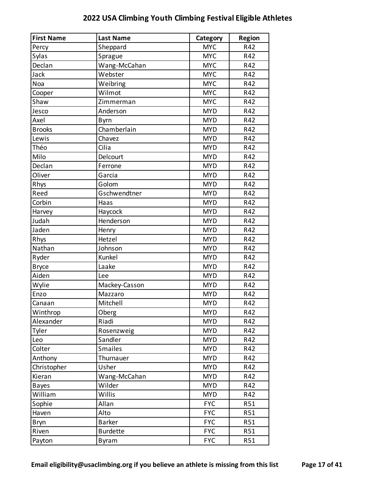| <b>First Name</b> | <b>Last Name</b> | Category   | <b>Region</b> |
|-------------------|------------------|------------|---------------|
| Percy             | Sheppard         | <b>MYC</b> | R42           |
| Sylas             | Sprague          | <b>MYC</b> | R42           |
| Declan            | Wang-McCahan     | <b>MYC</b> | R42           |
| Jack              | Webster          | <b>MYC</b> | R42           |
| Noa               | Weibring         | <b>MYC</b> | R42           |
| Cooper            | Wilmot           | <b>MYC</b> | R42           |
| Shaw              | Zimmerman        | <b>MYC</b> | R42           |
| Jesco             | Anderson         | <b>MYD</b> | R42           |
| Axel              | Byrn             | <b>MYD</b> | R42           |
| <b>Brooks</b>     | Chamberlain      | <b>MYD</b> | R42           |
| Lewis             | Chavez           | <b>MYD</b> | R42           |
| Théo              | Cilia            | <b>MYD</b> | R42           |
| Milo              | Delcourt         | <b>MYD</b> | R42           |
| Declan            | Ferrone          | <b>MYD</b> | R42           |
| Oliver            | Garcia           | <b>MYD</b> | R42           |
| Rhys              | Golom            | <b>MYD</b> | R42           |
| Reed              | Gschwendtner     | <b>MYD</b> | R42           |
| Corbin            | Haas             | <b>MYD</b> | R42           |
| Harvey            | Haycock          | <b>MYD</b> | R42           |
| Judah             | Henderson        | <b>MYD</b> | R42           |
| Jaden             | Henry            | <b>MYD</b> | R42           |
| Rhys              | Hetzel           | <b>MYD</b> | R42           |
| Nathan            | Johnson          | <b>MYD</b> | R42           |
| Ryder             | Kunkel           | <b>MYD</b> | R42           |
| <b>Bryce</b>      | Laake            | <b>MYD</b> | R42           |
| Aiden             | Lee              | <b>MYD</b> | R42           |
| Wylie             | Mackey-Casson    | <b>MYD</b> | R42           |
| Enzo              | Mazzaro          | <b>MYD</b> | R42           |
| Canaan            | Mitchell         | <b>MYD</b> | R42           |
| Winthrop          | Oberg            | <b>MYD</b> | R42           |
| Alexander         | Riadi            | <b>MYD</b> | R42           |
| Tyler             | Rosenzweig       | <b>MYD</b> | R42           |
| Leo               | Sandler          | <b>MYD</b> | R42           |
| Colter            | <b>Smailes</b>   | <b>MYD</b> | R42           |
| Anthony           | Thurnauer        | <b>MYD</b> | R42           |
| Christopher       | Usher            | <b>MYD</b> | R42           |
| Kieran            | Wang-McCahan     | <b>MYD</b> | R42           |
| <b>Bayes</b>      | Wilder           | <b>MYD</b> | R42           |
| William           | Willis           | <b>MYD</b> | R42           |
| Sophie            | Allan            | <b>FYC</b> | <b>R51</b>    |
| Haven             | Alto             | <b>FYC</b> | R51           |
| <b>Bryn</b>       | <b>Barker</b>    | <b>FYC</b> | R51           |
| Riven             | <b>Burdette</b>  | <b>FYC</b> | R51           |
| Payton            | Byram            | <b>FYC</b> | R51           |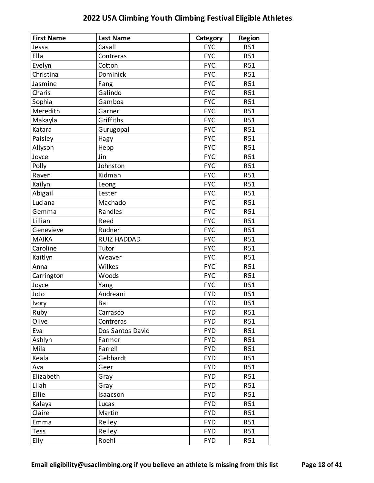| <b>First Name</b> | <b>Last Name</b>   | Category   | <b>Region</b> |
|-------------------|--------------------|------------|---------------|
| Jessa             | Casall             | <b>FYC</b> | R51           |
| Ella              | Contreras          | <b>FYC</b> | R51           |
| Evelyn            | Cotton             | <b>FYC</b> | R51           |
| Christina         | Dominick           | <b>FYC</b> | R51           |
| Jasmine           | Fang               | <b>FYC</b> | R51           |
| Charis            | Galindo            | <b>FYC</b> | R51           |
| Sophia            | Gamboa             | <b>FYC</b> | R51           |
| Meredith          | Garner             | <b>FYC</b> | R51           |
| Makayla           | Griffiths          | <b>FYC</b> | R51           |
| Katara            | Gurugopal          | <b>FYC</b> | R51           |
| Paisley           | Hagy               | <b>FYC</b> | R51           |
| Allyson           | Hepp               | <b>FYC</b> | R51           |
| Joyce             | Jin                | <b>FYC</b> | R51           |
| Polly             | Johnston           | <b>FYC</b> | R51           |
| Raven             | Kidman             | <b>FYC</b> | R51           |
| Kailyn            | Leong              | <b>FYC</b> | R51           |
| Abigail           | Lester             | <b>FYC</b> | R51           |
| Luciana           | Machado            | <b>FYC</b> | R51           |
| Gemma             | Randles            | <b>FYC</b> | R51           |
| Lillian           | Reed               | <b>FYC</b> | R51           |
| Genevieve         | Rudner             | <b>FYC</b> | R51           |
| <b>MAIKA</b>      | <b>RUIZ HADDAD</b> | <b>FYC</b> | R51           |
| Caroline          | Tutor              | <b>FYC</b> | R51           |
| Kaitlyn           | Weaver             | <b>FYC</b> | R51           |
| Anna              | Wilkes             | <b>FYC</b> | R51           |
| Carrington        | Woods              | <b>FYC</b> | R51           |
| Joyce             | Yang               | <b>FYC</b> | R51           |
| olol              | Andreani           | <b>FYD</b> | R51           |
| Ivory             | Bai                | <b>FYD</b> | R51           |
| Ruby              | Carrasco           | <b>FYD</b> | R51           |
| Olive             | Contreras          | <b>FYD</b> | R51           |
| Eva               | Dos Santos David   | <b>FYD</b> | R51           |
| Ashlyn            | Farmer             | <b>FYD</b> | R51           |
| Mila              | Farrell            | <b>FYD</b> | R51           |
| Keala             | Gebhardt           | <b>FYD</b> | R51           |
| Ava               | Geer               | <b>FYD</b> | R51           |
| Elizabeth         | Gray               | <b>FYD</b> | R51           |
| Lilah             | Gray               | <b>FYD</b> | R51           |
| Ellie             | Isaacson           | <b>FYD</b> | R51           |
| Kalaya            | Lucas              | <b>FYD</b> | R51           |
| Claire            | Martin             | <b>FYD</b> | R51           |
| Emma              | Reiley             | <b>FYD</b> | R51           |
| <b>Tess</b>       | Reiley             | <b>FYD</b> | R51           |
| Elly              | Roehl              | <b>FYD</b> | R51           |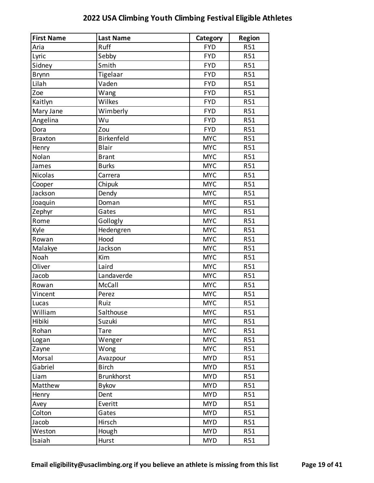| <b>First Name</b> | <b>Last Name</b>  | Category   | <b>Region</b>   |
|-------------------|-------------------|------------|-----------------|
| Aria              | Ruff              | <b>FYD</b> | R51             |
| Lyric             | Sebby             | <b>FYD</b> | R51             |
| Sidney            | Smith             | <b>FYD</b> | R51             |
| <b>Brynn</b>      | Tigelaar          | <b>FYD</b> | R51             |
| Lilah             | Vaden             | <b>FYD</b> | R51             |
| Zoe               | Wang              | <b>FYD</b> | R51             |
| Kaitlyn           | Wilkes            | <b>FYD</b> | <b>R51</b>      |
| Mary Jane         | Wimberly          | <b>FYD</b> | R51             |
| Angelina          | Wu                | <b>FYD</b> | R51             |
| Dora              | Zou               | <b>FYD</b> | R51             |
| <b>Braxton</b>    | Birkenfeld        | <b>MYC</b> | <b>R51</b>      |
| Henry             | <b>Blair</b>      | <b>MYC</b> | R51             |
| Nolan             | <b>Brant</b>      | <b>MYC</b> | R51             |
| James             | <b>Burks</b>      | <b>MYC</b> | R51             |
| Nicolas           | Carrera           | <b>MYC</b> | <b>R51</b>      |
| Cooper            | Chipuk            | <b>MYC</b> | R51             |
| Jackson           | Dendy             | <b>MYC</b> | R51             |
| Joaquin           | Doman             | <b>MYC</b> | R51             |
| Zephyr            | Gates             | <b>MYC</b> | <b>R51</b>      |
| Rome              | Gollogly          | <b>MYC</b> | R51             |
| Kyle              | Hedengren         | <b>MYC</b> | R51             |
| Rowan             | Hood              | <b>MYC</b> | R51             |
| Malakye           | Jackson           | <b>MYC</b> | <b>R51</b>      |
| Noah              | Kim               | <b>MYC</b> | R51             |
| Oliver            | Laird             | <b>MYC</b> | R51             |
| Jacob             | Landaverde        | <b>MYC</b> | R51             |
| Rowan             | McCall            | <b>MYC</b> | R <sub>51</sub> |
| Vincent           | Perez             | <b>MYC</b> | R51             |
| Lucas             | Ruiz              | <b>MYC</b> | R51             |
| William           | Salthouse         | <b>MYC</b> | R51             |
| Hibiki            | Suzuki            | <b>MYC</b> | R51             |
| Rohan             | <b>Tare</b>       | <b>MYC</b> | R51             |
| Logan             | Wenger            | <b>MYC</b> | R51             |
| Zayne             | Wong              | <b>MYC</b> | R51             |
| Morsal            | Avazpour          | <b>MYD</b> | R51             |
| Gabriel           | <b>Birch</b>      | <b>MYD</b> | R51             |
| Liam              | <b>Brunkhorst</b> | <b>MYD</b> | <b>R51</b>      |
| Matthew           | <b>Bykov</b>      | <b>MYD</b> | R51             |
| Henry             | Dent              | <b>MYD</b> | R51             |
| Avey              | Everitt           | <b>MYD</b> | R51             |
| Colton            | Gates             | <b>MYD</b> | R51             |
| Jacob             | Hirsch            | <b>MYD</b> | R51             |
| Weston            | Hough             | <b>MYD</b> | R51             |
| Isaiah            | Hurst             | <b>MYD</b> | R51             |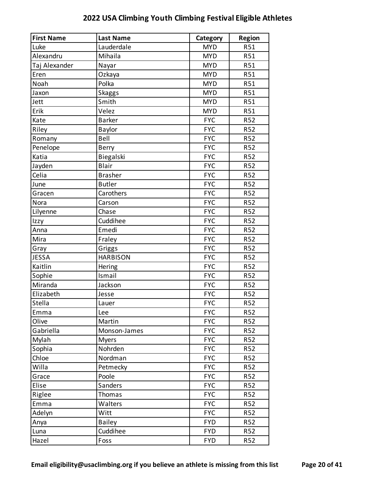| <b>First Name</b> | <b>Last Name</b> | Category   | <b>Region</b> |
|-------------------|------------------|------------|---------------|
| Luke              | Lauderdale       | <b>MYD</b> | R51           |
| Alexandru         | Mihaila          | <b>MYD</b> | R51           |
| Taj Alexander     | Nayar            | <b>MYD</b> | R51           |
| Eren              | Ozkaya           | <b>MYD</b> | R51           |
| Noah              | Polka            | <b>MYD</b> | R51           |
| Jaxon             | <b>Skaggs</b>    | <b>MYD</b> | R51           |
| Jett              | Smith            | <b>MYD</b> | R51           |
| Erik              | Velez            | <b>MYD</b> | R51           |
| Kate              | <b>Barker</b>    | <b>FYC</b> | R52           |
| Riley             | Baylor           | <b>FYC</b> | R52           |
| Romany            | Bell             | <b>FYC</b> | R52           |
| Penelope          | <b>Berry</b>     | <b>FYC</b> | <b>R52</b>    |
| Katia             | Biegalski        | <b>FYC</b> | R52           |
| Jayden            | <b>Blair</b>     | <b>FYC</b> | R52           |
| Celia             | <b>Brasher</b>   | <b>FYC</b> | R52           |
| June              | <b>Butler</b>    | <b>FYC</b> | <b>R52</b>    |
| Gracen            | Carothers        | <b>FYC</b> | R52           |
| Nora              | Carson           | <b>FYC</b> | R52           |
| Lilyenne          | Chase            | <b>FYC</b> | R52           |
| Izzy              | Cuddihee         | <b>FYC</b> | <b>R52</b>    |
| Anna              | Emedi            | <b>FYC</b> | R52           |
| Mira              | Fraley           | <b>FYC</b> | R52           |
| Gray              | Griggs           | <b>FYC</b> | R52           |
| <b>JESSA</b>      | <b>HARBISON</b>  | <b>FYC</b> | R52           |
| Kaitlin           | Hering           | <b>FYC</b> | R52           |
| Sophie            | Ismail           | <b>FYC</b> | R52           |
| Miranda           | Jackson          | <b>FYC</b> | R52           |
| Elizabeth         | Jesse            | <b>FYC</b> | R52           |
| <b>Stella</b>     | Lauer            | <b>FYC</b> | <b>R52</b>    |
| Emma              | Lee              | <b>FYC</b> | R52           |
| Olive             | Martin           | <b>FYC</b> | R52           |
| Gabriella         | Monson-James     | <b>FYC</b> | R52           |
| Mylah             | <b>Myers</b>     | <b>FYC</b> | R52           |
| Sophia            | Nohrden          | <b>FYC</b> | R52           |
| Chloe             | Nordman          | <b>FYC</b> | R52           |
| Willa             | Petmecky         | <b>FYC</b> | R52           |
| Grace             | Poole            | <b>FYC</b> | R52           |
| Elise             | Sanders          | <b>FYC</b> | R52           |
| Riglee            | Thomas           | <b>FYC</b> | R52           |
| Emma              | Walters          | <b>FYC</b> | R52           |
| Adelyn            | Witt             | <b>FYC</b> | R52           |
| Anya              | <b>Bailey</b>    | <b>FYD</b> | R52           |
| Luna              | Cuddihee         | <b>FYD</b> | R52           |
| Hazel             | Foss             | <b>FYD</b> | R52           |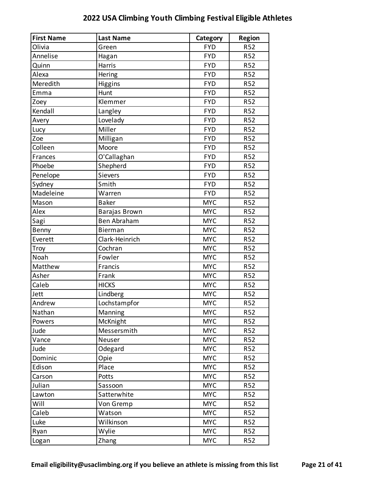| <b>First Name</b> | <b>Last Name</b>   | Category   | <b>Region</b>   |
|-------------------|--------------------|------------|-----------------|
| Olivia            | Green              | <b>FYD</b> | R <sub>52</sub> |
| Annelise          | Hagan              | <b>FYD</b> | R <sub>52</sub> |
| Quinn             | Harris             | <b>FYD</b> | R52             |
| Alexa             | Hering             | <b>FYD</b> | R52             |
| Meredith          | Higgins            | <b>FYD</b> | R52             |
| Emma              | Hunt               | <b>FYD</b> | R <sub>52</sub> |
| Zoey              | Klemmer            | <b>FYD</b> | R52             |
| Kendall           | Langley            | <b>FYD</b> | R52             |
| Avery             | Lovelady           | <b>FYD</b> | R52             |
| Lucy              | Miller             | <b>FYD</b> | R <sub>52</sub> |
| Zoe               | Milligan           | <b>FYD</b> | R52             |
| Colleen           | Moore              | <b>FYD</b> | R52             |
| Frances           | O'Callaghan        | <b>FYD</b> | R52             |
| Phoebe            | Shepherd           | <b>FYD</b> | R <sub>52</sub> |
| Penelope          | <b>Sievers</b>     | <b>FYD</b> | R52             |
| Sydney            | Smith              | <b>FYD</b> | R52             |
| Madeleine         | Warren             | <b>FYD</b> | R52             |
| Mason             | <b>Baker</b>       | <b>MYC</b> | R <sub>52</sub> |
| Alex              | Barajas Brown      | <b>MYC</b> | R52             |
| Sagi              | <b>Ben Abraham</b> | <b>MYC</b> | R52             |
| Benny             | Bierman            | <b>MYC</b> | R52             |
| Everett           | Clark-Heinrich     | <b>MYC</b> | R <sub>52</sub> |
| Troy              | Cochran            | <b>MYC</b> | R52             |
| Noah              | Fowler             | <b>MYC</b> | R52             |
| Matthew           | Francis            | <b>MYC</b> | R52             |
| Asher             | Frank              | <b>MYC</b> | R52             |
| Caleb             | <b>HICKS</b>       | <b>MYC</b> | R <sub>52</sub> |
| Jett              | Lindberg           | <b>MYC</b> | R <sub>52</sub> |
| Andrew            | Lochstampfor       | <b>MYC</b> | <b>R52</b>      |
| Nathan            | Manning            | <b>MYC</b> | R52             |
| Powers            | McKnight           | <b>MYC</b> | R <sub>52</sub> |
| Jude              | Messersmith        | <b>MYC</b> | R <sub>52</sub> |
| Vance             | Neuser             | <b>MYC</b> | R <sub>52</sub> |
| Jude              | Odegard            | <b>MYC</b> | R <sub>52</sub> |
| Dominic           | Opie               | <b>MYC</b> | R52             |
| Edison            | Place              | <b>MYC</b> | R52             |
| Carson            | Potts              | <b>MYC</b> | R <sub>52</sub> |
| Julian            | Sassoon            | <b>MYC</b> | R <sub>52</sub> |
| Lawton            | Satterwhite        | <b>MYC</b> | R52             |
| Will              | Von Gremp          | <b>MYC</b> | R52             |
| Caleb             | Watson             | <b>MYC</b> | R <sub>52</sub> |
| Luke              | Wilkinson          | <b>MYC</b> | R <sub>52</sub> |
| Ryan              | Wylie              | <b>MYC</b> | R <sub>52</sub> |
| Logan             | Zhang              | <b>MYC</b> | R52             |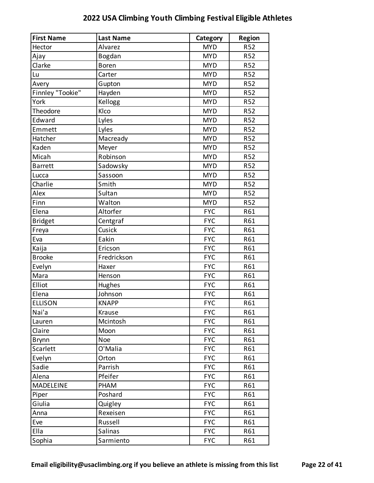| <b>First Name</b> | <b>Last Name</b> | Category   | <b>Region</b>   |
|-------------------|------------------|------------|-----------------|
| Hector            | Alvarez          | <b>MYD</b> | <b>R52</b>      |
| Ajay              | Bogdan           | <b>MYD</b> | R52             |
| Clarke            | <b>Boren</b>     | <b>MYD</b> | <b>R52</b>      |
| Lu                | Carter           | <b>MYD</b> | R <sub>52</sub> |
| Avery             | Gupton           | <b>MYD</b> | R52             |
| Finnley "Tookie"  | Hayden           | <b>MYD</b> | R <sub>52</sub> |
| York              | Kellogg          | <b>MYD</b> | <b>R52</b>      |
| Theodore          | Klco             | <b>MYD</b> | R <sub>52</sub> |
| Edward            | Lyles            | <b>MYD</b> | <b>R52</b>      |
| Emmett            | Lyles            | <b>MYD</b> | R <sub>52</sub> |
| Hatcher           | Macready         | <b>MYD</b> | <b>R52</b>      |
| Kaden             | Meyer            | <b>MYD</b> | R <sub>52</sub> |
| Micah             | Robinson         | <b>MYD</b> | <b>R52</b>      |
| <b>Barrett</b>    | Sadowsky         | <b>MYD</b> | R <sub>52</sub> |
| Lucca             | Sassoon          | <b>MYD</b> | <b>R52</b>      |
| Charlie           | Smith            | <b>MYD</b> | R <sub>52</sub> |
| Alex              | Sultan           | <b>MYD</b> | <b>R52</b>      |
| Finn              | Walton           | <b>MYD</b> | <b>R52</b>      |
| Elena             | Altorfer         | <b>FYC</b> | R61             |
| <b>Bridget</b>    | Centgraf         | <b>FYC</b> | R61             |
| Freya             | Cusick           | <b>FYC</b> | R61             |
| Eva               | Eakin            | <b>FYC</b> | R61             |
| Kaija             | Ericson          | <b>FYC</b> | R61             |
| <b>Brooke</b>     | Fredrickson      | <b>FYC</b> | R61             |
| Evelyn            | Haxer            | <b>FYC</b> | R61             |
| Mara              | Henson           | <b>FYC</b> | R61             |
| Elliot            | Hughes           | <b>FYC</b> | R61             |
| Elena             | Johnson          | <b>FYC</b> | R61             |
| <b>ELLISON</b>    | <b>KNAPP</b>     | <b>FYC</b> | R61             |
| Nai'a             | Krause           | <b>FYC</b> | R61             |
| Lauren            | Mcintosh         | <b>FYC</b> | R61             |
| Claire            | Moon             | <b>FYC</b> | R61             |
| <b>Brynn</b>      | Noe              | <b>FYC</b> | R61             |
| Scarlett          | O'Malia          | <b>FYC</b> | R61             |
| Evelyn            | Orton            | <b>FYC</b> | R61             |
| Sadie             | Parrish          | <b>FYC</b> | R61             |
| Alena             | Pfeifer          | <b>FYC</b> | R61             |
| <b>MADELEINE</b>  | PHAM             | <b>FYC</b> | R61             |
| Piper             | Poshard          | <b>FYC</b> | R61             |
| Giulia            | Quigley          | <b>FYC</b> | R61             |
| Anna              | Rexeisen         | <b>FYC</b> | R61             |
| Eve               | Russell          | <b>FYC</b> | R61             |
| Ella              | <b>Salinas</b>   | <b>FYC</b> | R61             |
| Sophia            | Sarmiento        | <b>FYC</b> | R61             |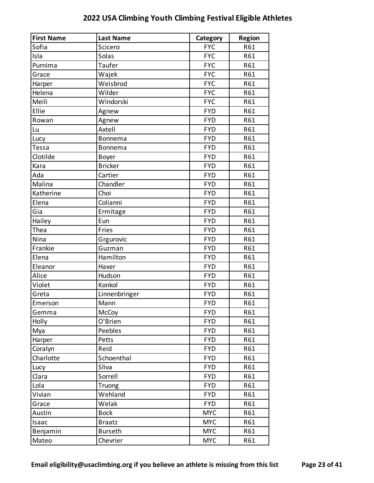| <b>First Name</b> | <b>Last Name</b> | Category   | <b>Region</b> |
|-------------------|------------------|------------|---------------|
| Sofia             | Scicero          | <b>FYC</b> | R61           |
| Isla              | Solas            | <b>FYC</b> | R61           |
| Purnima           | Taufer           | <b>FYC</b> | R61           |
| Grace             | Wajek            | <b>FYC</b> | R61           |
| Harper            | Weisbrod         | <b>FYC</b> | R61           |
| Helena            | Wilder           | <b>FYC</b> | R61           |
| Meili             | Windorski        | <b>FYC</b> | R61           |
| Ellie             | Agnew            | <b>FYD</b> | R61           |
| Rowan             | Agnew            | <b>FYD</b> | R61           |
| Lu                | Axtell           | <b>FYD</b> | R61           |
| Lucy              | Bonnema          | <b>FYD</b> | R61           |
| <b>Tessa</b>      | Bonnema          | <b>FYD</b> | R61           |
| Clotilde          | Boyer            | <b>FYD</b> | R61           |
| Kara              | <b>Bricker</b>   | <b>FYD</b> | R61           |
| Ada               | Cartier          | <b>FYD</b> | R61           |
| Malina            | Chandler         | <b>FYD</b> | R61           |
| Katherine         | Choi             | <b>FYD</b> | R61           |
| Elena             | Colianni         | <b>FYD</b> | R61           |
| Gia               | Ermitage         | <b>FYD</b> | R61           |
| Hailey            | Eun              | <b>FYD</b> | R61           |
| Thea              | Fries            | <b>FYD</b> | R61           |
| Nina              | Grgurovic        | <b>FYD</b> | R61           |
| Frankie           | Guzman           | <b>FYD</b> | R61           |
| Elena             | Hamilton         | <b>FYD</b> | R61           |
| Eleanor           | Haxer            | <b>FYD</b> | R61           |
| Alice             | Hudson           | <b>FYD</b> | R61           |
| Violet            | Konkol           | <b>FYD</b> | R61           |
| Greta             | Linnenbringer    | <b>FYD</b> | R61           |
| Emerson           | Mann             | <b>FYD</b> | R61           |
| Gemma             | McCoy            | <b>FYD</b> | R61           |
| Holly             | O'Brien          | <b>FYD</b> | R61           |
| Mya               | Peebles          | <b>FYD</b> | R61           |
| Harper            | Petts            | <b>FYD</b> | R61           |
| Coralyn           | Reid             | <b>FYD</b> | R61           |
| Charlotte         | Schoenthal       | <b>FYD</b> | R61           |
| Lucy              | Sliva            | <b>FYD</b> | R61           |
| Clara             | Sorrell          | <b>FYD</b> | R61           |
| Lola              | Truong           | <b>FYD</b> | R61           |
| Vivian            | Wehland          | <b>FYD</b> | R61           |
| Grace             | Welak            | <b>FYD</b> | R61           |
| Austin            | <b>Bock</b>      | <b>MYC</b> | R61           |
| Isaac             | <b>Braatz</b>    | <b>MYC</b> | R61           |
| Benjamin          | <b>Burseth</b>   | <b>MYC</b> | R61           |
| Mateo             | Chevrier         | <b>MYC</b> | R61           |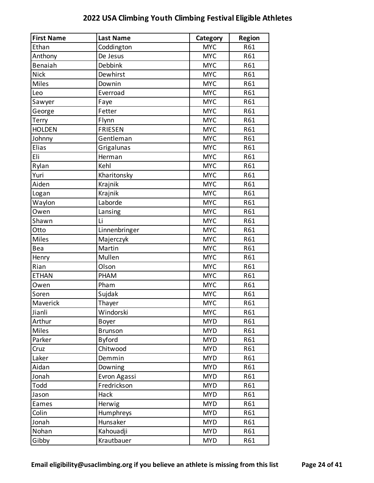| <b>First Name</b> | <b>Last Name</b> | Category   | <b>Region</b> |
|-------------------|------------------|------------|---------------|
| Ethan             | Coddington       | <b>MYC</b> | R61           |
| Anthony           | De Jesus         | <b>MYC</b> | R61           |
| <b>Benaiah</b>    | Debbink          | <b>MYC</b> | R61           |
| <b>Nick</b>       | Dewhirst         | <b>MYC</b> | R61           |
| <b>Miles</b>      | Downin           | <b>MYC</b> | R61           |
| Leo               | Everroad         | <b>MYC</b> | R61           |
| Sawyer            | Faye             | <b>MYC</b> | R61           |
| George            | Fetter           | <b>MYC</b> | R61           |
| Terry             | Flynn            | <b>MYC</b> | R61           |
| <b>HOLDEN</b>     | <b>FRIESEN</b>   | <b>MYC</b> | R61           |
| Johnny            | Gentleman        | <b>MYC</b> | R61           |
| Elias             | Grigalunas       | <b>MYC</b> | R61           |
| Eli               | Herman           | <b>MYC</b> | R61           |
| Rylan             | Kehl             | <b>MYC</b> | R61           |
| Yuri              | Kharitonsky      | <b>MYC</b> | R61           |
| Aiden             | Krajnik          | <b>MYC</b> | R61           |
| Logan             | Krajnik          | <b>MYC</b> | R61           |
| Waylon            | Laborde          | <b>MYC</b> | R61           |
| Owen              | Lansing          | <b>MYC</b> | R61           |
| Shawn             | Li               | <b>MYC</b> | R61           |
| Otto              | Linnenbringer    | <b>MYC</b> | R61           |
| <b>Miles</b>      | Majerczyk        | <b>MYC</b> | R61           |
| Bea               | Martin           | <b>MYC</b> | R61           |
| Henry             | Mullen           | <b>MYC</b> | R61           |
| Rian              | Olson            | <b>MYC</b> | R61           |
| <b>ETHAN</b>      | PHAM             | <b>MYC</b> | R61           |
| Owen              | Pham             | <b>MYC</b> | R61           |
| Soren             | Sujdak           | <b>MYC</b> | R61           |
| Maverick          | Thayer           | <b>MYC</b> | R61           |
| Jianli            | Windorski        | <b>MYC</b> | R61           |
| Arthur            | Boyer            | <b>MYD</b> | R61           |
| Miles             | <b>Brunson</b>   | <b>MYD</b> | R61           |
| Parker            | <b>Byford</b>    | <b>MYD</b> | R61           |
| Cruz              | Chitwood         | <b>MYD</b> | R61           |
| Laker             | Demmin           | <b>MYD</b> | R61           |
| Aidan             | Downing          | <b>MYD</b> | R61           |
| Jonah             | Evron Agassi     | <b>MYD</b> | R61           |
| Todd              | Fredrickson      | <b>MYD</b> | R61           |
| Jason             | Hack             | <b>MYD</b> | R61           |
| Eames             | Herwig           | <b>MYD</b> | R61           |
| Colin             | Humphreys        | <b>MYD</b> | R61           |
| Jonah             | Hunsaker         | <b>MYD</b> | R61           |
| Nohan             | Kahouadji        | <b>MYD</b> | R61           |
| Gibby             | Krautbauer       | <b>MYD</b> | R61           |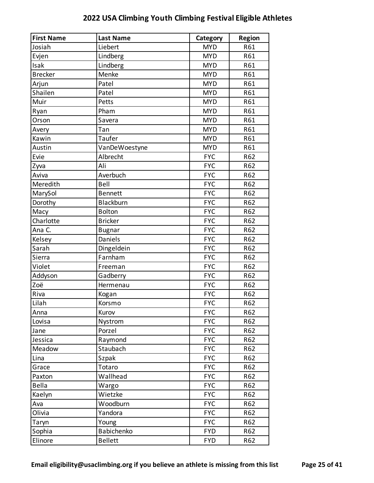| <b>First Name</b> | <b>Last Name</b> | Category   | <b>Region</b> |
|-------------------|------------------|------------|---------------|
| Josiah            | Liebert          | <b>MYD</b> | R61           |
| Evjen             | Lindberg         | <b>MYD</b> | R61           |
| Isak              | Lindberg         | <b>MYD</b> | R61           |
| <b>Brecker</b>    | Menke            | <b>MYD</b> | R61           |
| Arjun             | Patel            | <b>MYD</b> | R61           |
| Shailen           | Patel            | <b>MYD</b> | R61           |
| Muir              | Petts            | <b>MYD</b> | R61           |
| Ryan              | Pham             | <b>MYD</b> | R61           |
| Orson             | Savera           | <b>MYD</b> | R61           |
| Avery             | Tan              | <b>MYD</b> | R61           |
| Kawin             | Taufer           | <b>MYD</b> | R61           |
| Austin            | VanDeWoestyne    | <b>MYD</b> | R61           |
| Evie              | Albrecht         | <b>FYC</b> | R62           |
| Zyva              | Ali              | <b>FYC</b> | R62           |
| Aviva             | Averbuch         | <b>FYC</b> | R62           |
| Meredith          | Bell             | <b>FYC</b> | R62           |
| MarySol           | <b>Bennett</b>   | <b>FYC</b> | R62           |
| Dorothy           | Blackburn        | <b>FYC</b> | R62           |
| Macy              | <b>Bolton</b>    | <b>FYC</b> | R62           |
| Charlotte         | <b>Bricker</b>   | <b>FYC</b> | R62           |
| Ana C.            | <b>Bugnar</b>    | <b>FYC</b> | R62           |
| Kelsey            | Daniels          | <b>FYC</b> | R62           |
| Sarah             | Dingeldein       | <b>FYC</b> | R62           |
| Sierra            | Farnham          | <b>FYC</b> | R62           |
| Violet            | Freeman          | <b>FYC</b> | R62           |
| Addyson           | Gadberry         | <b>FYC</b> | R62           |
| Zoë               | Hermenau         | <b>FYC</b> | R62           |
| Riva              | Kogan            | <b>FYC</b> | R62           |
| Lilah             | Korsmo           | <b>FYC</b> | R62           |
| Anna              | Kurov            | <b>FYC</b> | R62           |
| Lovisa            | Nystrom          | <b>FYC</b> | R62           |
| Jane              | Porzel           | <b>FYC</b> | R62           |
| Jessica           | Raymond          | <b>FYC</b> | R62           |
| Meadow            | Staubach         | <b>FYC</b> | R62           |
| Lina              | Szpak            | <b>FYC</b> | R62           |
| Grace             | Totaro           | <b>FYC</b> | R62           |
| Paxton            | Wallhead         | <b>FYC</b> | R62           |
| <b>Bella</b>      | Wargo            | <b>FYC</b> | R62           |
| Kaelyn            | Wietzke          | <b>FYC</b> | R62           |
| Ava               | Woodburn         | <b>FYC</b> | R62           |
| Olivia            | Yandora          | <b>FYC</b> | R62           |
| Taryn             | Young            | <b>FYC</b> | R62           |
| Sophia            | Babichenko       | <b>FYD</b> | R62           |
| Elinore           | <b>Bellett</b>   | <b>FYD</b> | R62           |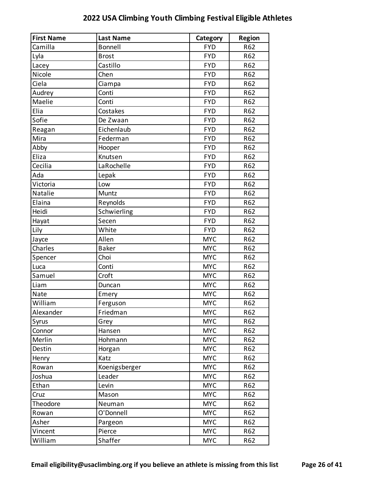| <b>First Name</b> | <b>Last Name</b> | Category   | <b>Region</b> |
|-------------------|------------------|------------|---------------|
| Camilla           | <b>Bonnell</b>   | <b>FYD</b> | R62           |
| Lyla              | <b>Brost</b>     | <b>FYD</b> | R62           |
| Lacey             | Castillo         | <b>FYD</b> | R62           |
| Nicole            | Chen             | <b>FYD</b> | R62           |
| Ciela             | Ciampa           | <b>FYD</b> | R62           |
| Audrey            | Conti            | <b>FYD</b> | R62           |
| Maelie            | Conti            | <b>FYD</b> | R62           |
| Elia              | Costakes         | <b>FYD</b> | R62           |
| Sofie             | De Zwaan         | <b>FYD</b> | R62           |
| Reagan            | Eichenlaub       | <b>FYD</b> | R62           |
| Mira              | Federman         | <b>FYD</b> | R62           |
| Abby              | Hooper           | <b>FYD</b> | R62           |
| Eliza             | Knutsen          | <b>FYD</b> | R62           |
| Cecilia           | LaRochelle       | <b>FYD</b> | R62           |
| Ada               | Lepak            | <b>FYD</b> | R62           |
| Victoria          | Low              | <b>FYD</b> | R62           |
| Natalie           | Muntz            | <b>FYD</b> | R62           |
| Elaina            | Reynolds         | <b>FYD</b> | R62           |
| Heidi             | Schwierling      | <b>FYD</b> | R62           |
| Hayat             | Secen            | <b>FYD</b> | R62           |
| Lily              | White            | <b>FYD</b> | R62           |
| Jayce             | Allen            | <b>MYC</b> | R62           |
| Charles           | <b>Baker</b>     | <b>MYC</b> | R62           |
| Spencer           | Choi             | <b>MYC</b> | R62           |
| Luca              | Conti            | <b>MYC</b> | R62           |
| Samuel            | Croft            | <b>MYC</b> | R62           |
| Liam              | Duncan           | <b>MYC</b> | R62           |
| Nate              | Emery            | <b>MYC</b> | R62           |
| William           | Ferguson         | <b>MYC</b> | R62           |
| Alexander         | Friedman         | <b>MYC</b> | R62           |
| Syrus             | Grey             | <b>MYC</b> | R62           |
| Connor            | Hansen           | <b>MYC</b> | R62           |
| Merlin            | Hohmann          | <b>MYC</b> | R62           |
| Destin            | Horgan           | <b>MYC</b> | R62           |
| Henry             | Katz             | <b>MYC</b> | R62           |
| Rowan             | Koenigsberger    | <b>MYC</b> | R62           |
| Joshua            | Leader           | <b>MYC</b> | R62           |
| Ethan             | Levin            | <b>MYC</b> | R62           |
| Cruz              | Mason            | <b>MYC</b> | R62           |
| Theodore          | Neuman           | <b>MYC</b> | R62           |
| Rowan             | O'Donnell        | <b>MYC</b> | R62           |
| Asher             | Pargeon          | <b>MYC</b> | R62           |
| Vincent           | Pierce           | <b>MYC</b> | R62           |
| William           | Shaffer          | <b>MYC</b> | R62           |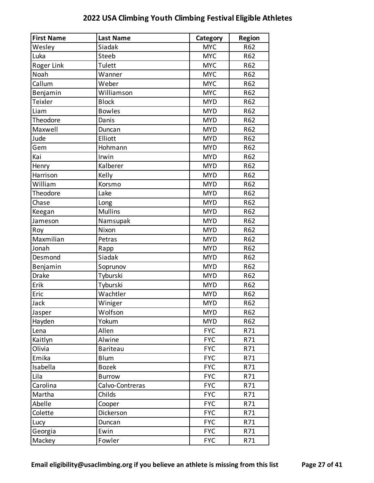| <b>First Name</b> | <b>Last Name</b> | Category   | <b>Region</b> |
|-------------------|------------------|------------|---------------|
| Wesley            | Siadak           | <b>MYC</b> | R62           |
| Luka              | Steeb            | <b>MYC</b> | R62           |
| Roger Link        | Tulett           | <b>MYC</b> | R62           |
| Noah              | Wanner           | <b>MYC</b> | R62           |
| Callum            | Weber            | <b>MYC</b> | R62           |
| Benjamin          | Williamson       | <b>MYC</b> | R62           |
| Teixler           | <b>Block</b>     | <b>MYD</b> | R62           |
| Liam              | <b>Bowles</b>    | <b>MYD</b> | R62           |
| Theodore          | Danis            | <b>MYD</b> | R62           |
| Maxwell           | Duncan           | <b>MYD</b> | R62           |
| Jude              | Elliott          | <b>MYD</b> | R62           |
| Gem               | Hohmann          | <b>MYD</b> | R62           |
| Kai               | Irwin            | <b>MYD</b> | R62           |
| Henry             | Kalberer         | <b>MYD</b> | R62           |
| Harrison          | Kelly            | <b>MYD</b> | R62           |
| William           | Korsmo           | <b>MYD</b> | R62           |
| Theodore          | Lake             | <b>MYD</b> | R62           |
| Chase             | Long             | <b>MYD</b> | R62           |
| Keegan            | <b>Mullins</b>   | <b>MYD</b> | R62           |
| Jameson           | Namsupak         | <b>MYD</b> | R62           |
| Roy               | Nixon            | <b>MYD</b> | R62           |
| Maxmilian         | Petras           | <b>MYD</b> | R62           |
| Jonah             | Rapp             | <b>MYD</b> | R62           |
| Desmond           | Siadak           | <b>MYD</b> | R62           |
| Benjamin          | Soprunov         | <b>MYD</b> | R62           |
| <b>Drake</b>      | Tyburski         | <b>MYD</b> | R62           |
| Erik              | Tyburski         | <b>MYD</b> | R62           |
| Eric              | Wachtler         | <b>MYD</b> | R62           |
| Jack              | Winiger          | <b>MYD</b> | R62           |
| Jasper            | Wolfson          | <b>MYD</b> | R62           |
| Hayden            | Yokum            | <b>MYD</b> | R62           |
| Lena              | Allen            | <b>FYC</b> | R71           |
| Kaitlyn           | Alwine           | <b>FYC</b> | R71           |
| Olivia            | <b>Bariteau</b>  | <b>FYC</b> | R71           |
| Emika             | <b>Blum</b>      | <b>FYC</b> | R71           |
| Isabella          | <b>Bozek</b>     | <b>FYC</b> | R71           |
| Lila              | <b>Burrow</b>    | <b>FYC</b> | R71           |
| Carolina          | Calvo-Contreras  | <b>FYC</b> | R71           |
| Martha            | Childs           | <b>FYC</b> | R71           |
| Abelle            | Cooper           | <b>FYC</b> | R71           |
| Colette           | Dickerson        | <b>FYC</b> | R71           |
| Lucy              | Duncan           | <b>FYC</b> | R71           |
| Georgia           | Ewin             | <b>FYC</b> | R71           |
| Mackey            | Fowler           | <b>FYC</b> | R71           |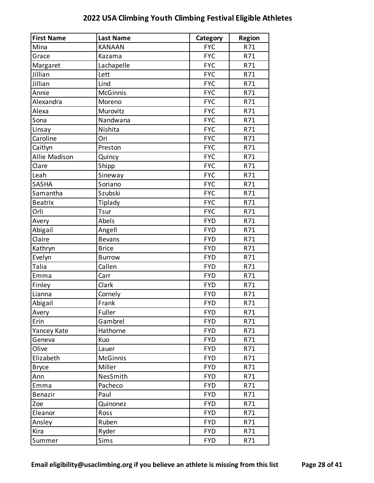| <b>First Name</b>    | <b>Last Name</b> | Category   | <b>Region</b> |
|----------------------|------------------|------------|---------------|
| Mina                 | <b>KANAAN</b>    | <b>FYC</b> | R71           |
| Grace                | Kazama           | <b>FYC</b> | R71           |
| Margaret             | Lachapelle       | <b>FYC</b> | R71           |
| Jillian              | Lett             | <b>FYC</b> | R71           |
| Jillian              | Lind             | <b>FYC</b> | R71           |
| Annie                | <b>McGinnis</b>  | <b>FYC</b> | R71           |
| Alexandra            | Moreno           | <b>FYC</b> | R71           |
| Alexa                | Murovitz         | <b>FYC</b> | R71           |
| Sona                 | Nandwana         | <b>FYC</b> | R71           |
| Linsay               | Nishita          | <b>FYC</b> | R71           |
| Caroline             | Ori              | <b>FYC</b> | R71           |
| Caitlyn              | Preston          | <b>FYC</b> | R71           |
| <b>Allie Madison</b> | Quincy           | <b>FYC</b> | R71           |
| Clare                | Shipp            | <b>FYC</b> | R71           |
| Leah                 | Sineway          | <b>FYC</b> | R71           |
| <b>SASHA</b>         | Soriano          | <b>FYC</b> | R71           |
| Samantha             | Szubski          | <b>FYC</b> | R71           |
| <b>Beatrix</b>       | Tiplady          | <b>FYC</b> | R71           |
| Orli                 | <b>Tsur</b>      | <b>FYC</b> | R71           |
| Avery                | Abels            | <b>FYD</b> | R71           |
| Abigail              | Angell           | <b>FYD</b> | R71           |
| Claire               | <b>Bevans</b>    | <b>FYD</b> | R71           |
| Kathryn              | <b>Brice</b>     | <b>FYD</b> | R71           |
| Evelyn               | <b>Burrow</b>    | <b>FYD</b> | R71           |
| Talia                | Callen           | <b>FYD</b> | R71           |
| Emma                 | Carr             | <b>FYD</b> | R71           |
| Finley               | Clark            | <b>FYD</b> | R71           |
| Lianna               | Cornely          | <b>FYD</b> | R71           |
| Abigail              | Frank            | <b>FYD</b> | R71           |
| Avery                | Fuller           | <b>FYD</b> | R71           |
| Erin                 | Gambrel          | <b>FYD</b> | R71           |
| Yancey Kate          | Hathorne         | <b>FYD</b> | R71           |
| Geneva               | Kuo              | <b>FYD</b> | R71           |
| Olive                | Lauer            | <b>FYD</b> | R71           |
| Elizabeth            | McGinnis         | <b>FYD</b> | R71           |
| <b>Bryce</b>         | Miller           | <b>FYD</b> | R71           |
| Ann                  | NesSmith         | <b>FYD</b> | R71           |
| Emma                 | Pacheco          | <b>FYD</b> | R71           |
| Benazir              | Paul             | <b>FYD</b> | R71           |
| Zoe                  | Quinonez         | <b>FYD</b> | R71           |
| Eleanor              | Ross             | <b>FYD</b> | R71           |
| Ansley               | Ruben            | <b>FYD</b> | R71           |
| Kira                 | Ryder            | <b>FYD</b> | R71           |
| Summer               | Sims             | <b>FYD</b> | R71           |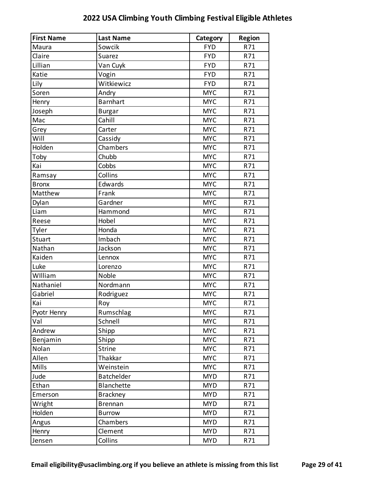| <b>First Name</b> | <b>Last Name</b> | Category   | <b>Region</b> |
|-------------------|------------------|------------|---------------|
| Maura             | Sowcik           | <b>FYD</b> | R71           |
| Claire            | Suarez           | <b>FYD</b> | R71           |
| Lillian           | Van Cuyk         | <b>FYD</b> | R71           |
| Katie             | Vogin            | <b>FYD</b> | R71           |
| Lily              | Witkiewicz       | <b>FYD</b> | R71           |
| Soren             | Andry            | <b>MYC</b> | R71           |
| Henry             | <b>Barnhart</b>  | <b>MYC</b> | R71           |
| Joseph            | <b>Burgar</b>    | <b>MYC</b> | R71           |
| Mac               | Cahill           | <b>MYC</b> | R71           |
| Grey              | Carter           | <b>MYC</b> | R71           |
| Will              | Cassidy          | <b>MYC</b> | R71           |
| Holden            | Chambers         | <b>MYC</b> | R71           |
| Toby              | Chubb            | <b>MYC</b> | R71           |
| Kai               | Cobbs            | <b>MYC</b> | R71           |
| Ramsay            | Collins          | <b>MYC</b> | R71           |
| <b>Bronx</b>      | Edwards          | <b>MYC</b> | R71           |
| Matthew           | Frank            | <b>MYC</b> | R71           |
| Dylan             | Gardner          | <b>MYC</b> | R71           |
| Liam              | Hammond          | <b>MYC</b> | R71           |
| Reese             | Hobel            | <b>MYC</b> | R71           |
| Tyler             | Honda            | <b>MYC</b> | R71           |
| Stuart            | Imbach           | <b>MYC</b> | R71           |
| Nathan            | Jackson          | <b>MYC</b> | R71           |
| Kaiden            | Lennox           | <b>MYC</b> | R71           |
| Luke              | Lorenzo          | <b>MYC</b> | R71           |
| William           | Noble            | <b>MYC</b> | R71           |
| Nathaniel         | Nordmann         | <b>MYC</b> | R71           |
| Gabriel           | Rodriguez        | <b>MYC</b> | R71           |
| Kai               | Roy              | <b>MYC</b> | R71           |
| Pyotr Henry       | Rumschlag        | <b>MYC</b> | R71           |
| Val               | Schnell          | <b>MYC</b> | R71           |
| Andrew            | Shipp            | <b>MYC</b> | R71           |
| Benjamin          | Shipp            | <b>MYC</b> | R71           |
| Nolan             | <b>Strine</b>    | <b>MYC</b> | R71           |
| Allen             | Thakkar          | <b>MYC</b> | R71           |
| Mills             | Weinstein        | <b>MYC</b> | R71           |
| Jude              | Batchelder       | <b>MYD</b> | R71           |
| Ethan             | Blanchette       | <b>MYD</b> | R71           |
| Emerson           | <b>Brackney</b>  | <b>MYD</b> | R71           |
| Wright            | <b>Brennan</b>   | <b>MYD</b> | R71           |
| Holden            | <b>Burrow</b>    | <b>MYD</b> | R71           |
| Angus             | Chambers         | <b>MYD</b> | R71           |
| Henry             | Clement          | <b>MYD</b> | R71           |
| Jensen            | Collins          | <b>MYD</b> | R71           |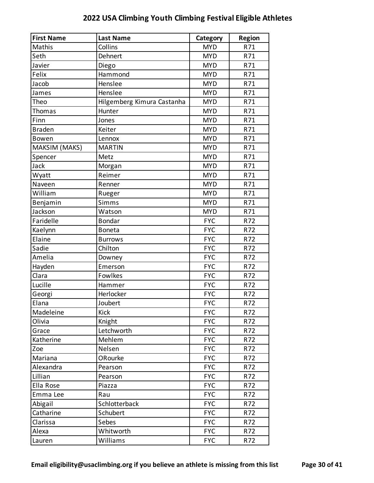| <b>First Name</b> | <b>Last Name</b>           | Category   | <b>Region</b> |
|-------------------|----------------------------|------------|---------------|
| Mathis            | Collins                    | <b>MYD</b> | R71           |
| Seth              | Dehnert                    | <b>MYD</b> | R71           |
| Javier            | Diego                      | <b>MYD</b> | R71           |
| Felix             | Hammond                    | <b>MYD</b> | R71           |
| Jacob             | Henslee                    | <b>MYD</b> | R71           |
| James             | Henslee                    | <b>MYD</b> | R71           |
| Theo              | Hilgemberg Kimura Castanha | <b>MYD</b> | R71           |
| Thomas            | Hunter                     | <b>MYD</b> | R71           |
| Finn              | Jones                      | <b>MYD</b> | R71           |
| <b>Braden</b>     | Keiter                     | <b>MYD</b> | R71           |
| Bowen             | Lennox                     | <b>MYD</b> | R71           |
| MAKSIM (MAKS)     | <b>MARTIN</b>              | <b>MYD</b> | R71           |
| Spencer           | Metz                       | <b>MYD</b> | R71           |
| Jack              | Morgan                     | <b>MYD</b> | R71           |
| Wyatt             | Reimer                     | <b>MYD</b> | R71           |
| Naveen            | Renner                     | <b>MYD</b> | R71           |
| William           | Rueger                     | <b>MYD</b> | R71           |
| Benjamin          | Simms                      | <b>MYD</b> | R71           |
| Jackson           | Watson                     | <b>MYD</b> | R71           |
| Faridelle         | <b>Bondar</b>              | <b>FYC</b> | R72           |
| Kaelynn           | <b>Boneta</b>              | <b>FYC</b> | R72           |
| Elaine            | <b>Burrows</b>             | <b>FYC</b> | R72           |
| Sadie             | Chilton                    | <b>FYC</b> | R72           |
| Amelia            | Downey                     | <b>FYC</b> | R72           |
| Hayden            | Emerson                    | <b>FYC</b> | R72           |
| Clara             | Fowlkes                    | <b>FYC</b> | R72           |
| Lucille           | Hammer                     | <b>FYC</b> | R72           |
| Georgi            | Herlocker                  | <b>FYC</b> | R72           |
| Elana             | Joubert                    | <b>FYC</b> | R72           |
| Madeleine         | Kick                       | <b>FYC</b> | R72           |
| Olivia            | Knight                     | <b>FYC</b> | R72           |
| Grace             | Letchworth                 | <b>FYC</b> | R72           |
| Katherine         | Mehlem                     | <b>FYC</b> | R72           |
| Zoe               | Nelsen                     | <b>FYC</b> | R72           |
| Mariana           | ORourke                    | <b>FYC</b> | R72           |
| Alexandra         | Pearson                    | <b>FYC</b> | R72           |
| Lillian           | Pearson                    | <b>FYC</b> | R72           |
| Ella Rose         | Piazza                     | <b>FYC</b> | R72           |
| Emma Lee          | Rau                        | <b>FYC</b> | R72           |
| Abigail           | Schlotterback              | <b>FYC</b> | R72           |
| Catharine         | Schubert                   | <b>FYC</b> | R72           |
| Clarissa          | Sebes                      | <b>FYC</b> | R72           |
| Alexa             | Whitworth                  | <b>FYC</b> | R72           |
| Lauren            | Williams                   | <b>FYC</b> | R72           |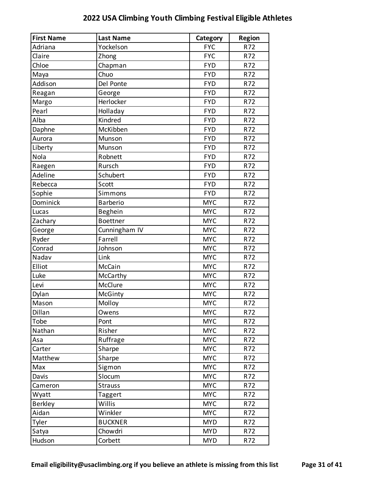| <b>First Name</b> | <b>Last Name</b> | Category   | <b>Region</b> |
|-------------------|------------------|------------|---------------|
| Adriana           | Yockelson        | <b>FYC</b> | R72           |
| Claire            | Zhong            | <b>FYC</b> | R72           |
| Chloe             | Chapman          | <b>FYD</b> | R72           |
| Maya              | Chuo             | <b>FYD</b> | R72           |
| Addison           | Del Ponte        | <b>FYD</b> | R72           |
| Reagan            | George           | <b>FYD</b> | R72           |
| Margo             | Herlocker        | <b>FYD</b> | R72           |
| Pearl             | Holladay         | <b>FYD</b> | R72           |
| Alba              | Kindred          | <b>FYD</b> | R72           |
| Daphne            | McKibben         | <b>FYD</b> | R72           |
| Aurora            | Munson           | <b>FYD</b> | R72           |
| Liberty           | Munson           | <b>FYD</b> | R72           |
| Nola              | Robnett          | <b>FYD</b> | R72           |
| Raegen            | Rursch           | <b>FYD</b> | R72           |
| Adeline           | Schubert         | <b>FYD</b> | R72           |
| Rebecca           | Scott            | <b>FYD</b> | R72           |
| Sophie            | Simmons          | <b>FYD</b> | R72           |
| Dominick          | <b>Barberio</b>  | <b>MYC</b> | R72           |
| Lucas             | Beghein          | <b>MYC</b> | R72           |
| Zachary           | <b>Boettner</b>  | <b>MYC</b> | R72           |
| George            | Cunningham IV    | <b>MYC</b> | R72           |
| Ryder             | Farrell          | <b>MYC</b> | R72           |
| Conrad            | Johnson          | <b>MYC</b> | R72           |
| Nadav             | Link             | <b>MYC</b> | R72           |
| Elliot            | McCain           | <b>MYC</b> | R72           |
| Luke              | McCarthy         | <b>MYC</b> | R72           |
| Levi              | McClure          | <b>MYC</b> | R72           |
| Dylan             | McGinty          | <b>MYC</b> | R72           |
| Mason             | Molloy           | <b>MYC</b> | R72           |
| Dillan            | Owens            | <b>MYC</b> | R72           |
| Tobe              | Pont             | <b>MYC</b> | R72           |
| Nathan            | Risher           | <b>MYC</b> | R72           |
| Asa               | Ruffrage         | <b>MYC</b> | R72           |
| Carter            | Sharpe           | <b>MYC</b> | R72           |
| Matthew           | Sharpe           | <b>MYC</b> | R72           |
| Max               | Sigmon           | <b>MYC</b> | R72           |
| Davis             | Slocum           | <b>MYC</b> | R72           |
| Cameron           | <b>Strauss</b>   | <b>MYC</b> | R72           |
| Wyatt             | Taggert          | <b>MYC</b> | R72           |
| <b>Berkley</b>    | Willis           | <b>MYC</b> | R72           |
| Aidan             | Winkler          | <b>MYC</b> | R72           |
| Tyler             | <b>BUCKNER</b>   | <b>MYD</b> | R72           |
| Satya             | Chowdri          | <b>MYD</b> | R72           |
| Hudson            | Corbett          | <b>MYD</b> | R72           |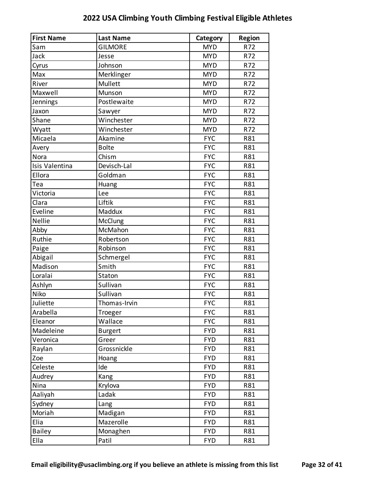| <b>First Name</b> | <b>Last Name</b> | Category   | <b>Region</b> |
|-------------------|------------------|------------|---------------|
| Sam               | <b>GILMORE</b>   | <b>MYD</b> | R72           |
| Jack              | Jesse            | <b>MYD</b> | R72           |
| Cyrus             | Johnson          | <b>MYD</b> | R72           |
| Max               | Merklinger       | <b>MYD</b> | R72           |
| River             | Mullett          | <b>MYD</b> | R72           |
| Maxwell           | Munson           | <b>MYD</b> | R72           |
| Jennings          | Postlewaite      | <b>MYD</b> | R72           |
| Jaxon             | Sawyer           | <b>MYD</b> | R72           |
| Shane             | Winchester       | <b>MYD</b> | R72           |
| Wyatt             | Winchester       | <b>MYD</b> | R72           |
| Micaela           | Akamine          | <b>FYC</b> | R81           |
| Avery             | <b>Bolte</b>     | <b>FYC</b> | R81           |
| Nora              | Chism            | <b>FYC</b> | R81           |
| Isis Valentina    | Devisch-Lal      | <b>FYC</b> | R81           |
| Ellora            | Goldman          | <b>FYC</b> | R81           |
| Tea               | Huang            | <b>FYC</b> | R81           |
| Victoria          | Lee              | <b>FYC</b> | R81           |
| Clara             | Liftik           | <b>FYC</b> | R81           |
| Eveline           | Maddux           | <b>FYC</b> | R81           |
| Nellie            | <b>McClung</b>   | <b>FYC</b> | R81           |
| Abby              | McMahon          | <b>FYC</b> | R81           |
| Ruthie            | Robertson        | <b>FYC</b> | R81           |
| Paige             | Robinson         | <b>FYC</b> | R81           |
| Abigail           | Schmergel        | <b>FYC</b> | R81           |
| Madison           | Smith            | <b>FYC</b> | R81           |
| Loralai           | Staton           | <b>FYC</b> | R81           |
| Ashlyn            | Sullivan         | <b>FYC</b> | R81           |
| Niko              | Sullivan         | <b>FYC</b> | R81           |
| Juliette          | Thomas-Irvin     | <b>FYC</b> | R81           |
| Arabella          | Troeger          | <b>FYC</b> | R81           |
| Eleanor           | Wallace          | <b>FYC</b> | R81           |
| Madeleine         | <b>Burgert</b>   | <b>FYD</b> | R81           |
| Veronica          | Greer            | <b>FYD</b> | R81           |
| Raylan            | Grossnickle      | <b>FYD</b> | R81           |
| Zoe               | Hoang            | <b>FYD</b> | R81           |
| Celeste           | Ide              | <b>FYD</b> | R81           |
| Audrey            | Kang             | <b>FYD</b> | R81           |
| Nina              | Krylova          | <b>FYD</b> | R81           |
| Aaliyah           | Ladak            | <b>FYD</b> | R81           |
| Sydney            | Lang             | <b>FYD</b> | R81           |
| Moriah            | Madigan          | <b>FYD</b> | R81           |
| Elia              | Mazerolle        | <b>FYD</b> | R81           |
| <b>Bailey</b>     | Monaghen         | <b>FYD</b> | R81           |
| Ella              | Patil            | <b>FYD</b> | R81           |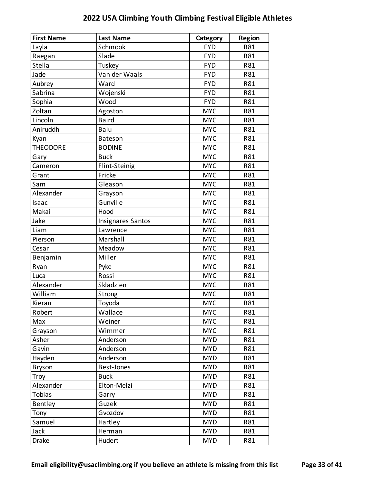| <b>First Name</b> | <b>Last Name</b>         | Category   | <b>Region</b> |
|-------------------|--------------------------|------------|---------------|
| Layla             | Schmook                  | <b>FYD</b> | R81           |
| Raegan            | Slade                    | <b>FYD</b> | R81           |
| Stella            | Tuskey                   | <b>FYD</b> | R81           |
| Jade              | Van der Waals            | <b>FYD</b> | R81           |
| Aubrey            | Ward                     | <b>FYD</b> | R81           |
| Sabrina           | Wojenski                 | <b>FYD</b> | R81           |
| Sophia            | Wood                     | <b>FYD</b> | R81           |
| Zoltan            | Agoston                  | <b>MYC</b> | R81           |
| Lincoln           | <b>Baird</b>             | <b>MYC</b> | R81           |
| Aniruddh          | Balu                     | <b>MYC</b> | R81           |
| Kyan              | <b>Bateson</b>           | <b>MYC</b> | R81           |
| <b>THEODORE</b>   | <b>BODINE</b>            | <b>MYC</b> | R81           |
| Gary              | <b>Buck</b>              | <b>MYC</b> | R81           |
| Cameron           | Flint-Steinig            | <b>MYC</b> | R81           |
| Grant             | Fricke                   | <b>MYC</b> | R81           |
| Sam               | Gleason                  | <b>MYC</b> | R81           |
| Alexander         | Grayson                  | <b>MYC</b> | R81           |
| Isaac             | Gunville                 | <b>MYC</b> | R81           |
| Makai             | Hood                     | <b>MYC</b> | R81           |
| Jake              | <b>Insignares Santos</b> | <b>MYC</b> | R81           |
| Liam              | Lawrence                 | <b>MYC</b> | R81           |
| Pierson           | Marshall                 | <b>MYC</b> | R81           |
| Cesar             | Meadow                   | <b>MYC</b> | R81           |
| Benjamin          | Miller                   | <b>MYC</b> | R81           |
| Ryan              | Pyke                     | <b>MYC</b> | R81           |
| Luca              | Rossi                    | <b>MYC</b> | R81           |
| Alexander         | Skladzien                | <b>MYC</b> | R81           |
| William           | Strong                   | <b>MYC</b> | R81           |
| Kieran            | Toyoda                   | <b>MYC</b> | R81           |
| Robert            | Wallace                  | <b>MYC</b> | R81           |
| Max               | Weiner                   | <b>MYC</b> | R81           |
| Grayson           | Wimmer                   | <b>MYC</b> | R81           |
| Asher             | Anderson                 | <b>MYD</b> | R81           |
| Gavin             | Anderson                 | <b>MYD</b> | R81           |
| Hayden            | Anderson                 | <b>MYD</b> | R81           |
| <b>Bryson</b>     | <b>Best-Jones</b>        | <b>MYD</b> | R81           |
| Troy              | <b>Buck</b>              | <b>MYD</b> | R81           |
| Alexander         | Elton-Melzi              | <b>MYD</b> | R81           |
| Tobias            | Garry                    | <b>MYD</b> | R81           |
| Bentley           | Guzek                    | <b>MYD</b> | R81           |
| Tony              | Gvozdov                  | <b>MYD</b> | R81           |
| Samuel            | Hartley                  | <b>MYD</b> | R81           |
| Jack              | Herman                   | <b>MYD</b> | R81           |
| Drake             | Hudert                   | <b>MYD</b> | R81           |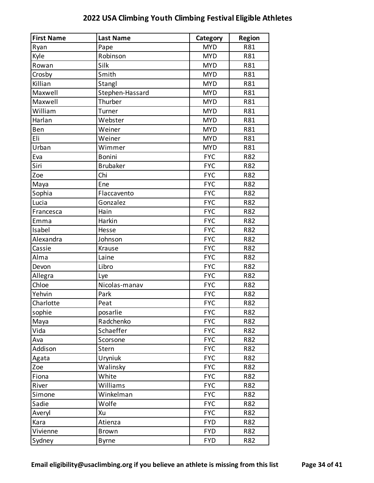| <b>First Name</b> | <b>Last Name</b> | Category   | <b>Region</b> |
|-------------------|------------------|------------|---------------|
| Ryan              | Pape             | <b>MYD</b> | R81           |
| Kyle              | Robinson         | <b>MYD</b> | R81           |
| Rowan             | Silk             | <b>MYD</b> | R81           |
| Crosby            | Smith            | <b>MYD</b> | R81           |
| Killian           | Stangl           | <b>MYD</b> | R81           |
| Maxwell           | Stephen-Hassard  | <b>MYD</b> | R81           |
| Maxwell           | Thurber          | <b>MYD</b> | R81           |
| William           | Turner           | <b>MYD</b> | R81           |
| Harlan            | Webster          | <b>MYD</b> | R81           |
| Ben               | Weiner           | <b>MYD</b> | R81           |
| Eli               | Weiner           | <b>MYD</b> | R81           |
| Urban             | Wimmer           | <b>MYD</b> | R81           |
| Eva               | <b>Bonini</b>    | <b>FYC</b> | R82           |
| Siri              | <b>Brubaker</b>  | <b>FYC</b> | R82           |
| Zoe               | Chi              | <b>FYC</b> | R82           |
| Maya              | Ene              | <b>FYC</b> | R82           |
| Sophia            | Flaccavento      | <b>FYC</b> | R82           |
| Lucia             | Gonzalez         | <b>FYC</b> | R82           |
| Francesca         | Hain             | <b>FYC</b> | R82           |
| Emma              | Harkin           | <b>FYC</b> | R82           |
| Isabel            | Hesse            | <b>FYC</b> | R82           |
| Alexandra         | Johnson          | <b>FYC</b> | R82           |
| Cassie            | Krause           | <b>FYC</b> | R82           |
| Alma              | Laine            | <b>FYC</b> | R82           |
| Devon             | Libro            | <b>FYC</b> | R82           |
| Allegra           | Lye              | <b>FYC</b> | R82           |
| Chloe             | Nicolas-manav    | <b>FYC</b> | R82           |
| Yehvin            | Park             | <b>FYC</b> | R82           |
| Charlotte         | Peat             | <b>FYC</b> | R82           |
| sophie            | posarlie         | <b>FYC</b> | R82           |
| Maya              | Radchenko        | <b>FYC</b> | R82           |
| Vida              | Schaeffer        | <b>FYC</b> | R82           |
| Ava               | Scorsone         | <b>FYC</b> | R82           |
| Addison           | Stern            | <b>FYC</b> | R82           |
| Agata             | Uryniuk          | <b>FYC</b> | R82           |
| Zoe               | Walinsky         | <b>FYC</b> | R82           |
| Fiona             | White            | <b>FYC</b> | R82           |
| River             | Williams         | <b>FYC</b> | R82           |
| Simone            | Winkelman        | <b>FYC</b> | R82           |
| Sadie             | Wolfe            | <b>FYC</b> | R82           |
| Averyl            | Xu               | <b>FYC</b> | R82           |
| Kara              | Atienza          | <b>FYD</b> | R82           |
| Vivienne          | <b>Brown</b>     | <b>FYD</b> | R82           |
| Sydney            | <b>Byrne</b>     | <b>FYD</b> | R82           |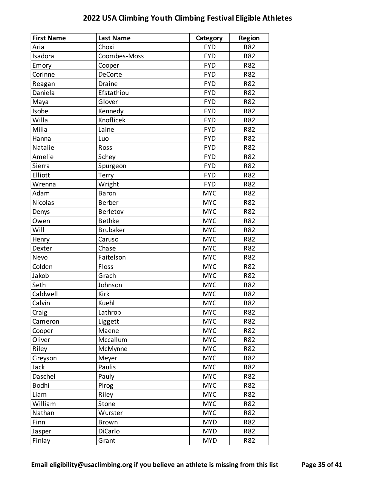| <b>First Name</b> | <b>Last Name</b> | Category   | <b>Region</b> |
|-------------------|------------------|------------|---------------|
| Aria              | Choxi            | <b>FYD</b> | R82           |
| Isadora           | Coombes-Moss     | <b>FYD</b> | R82           |
| Emory             | Cooper           | <b>FYD</b> | R82           |
| Corinne           | <b>DeCorte</b>   | <b>FYD</b> | R82           |
| Reagan            | Draine           | <b>FYD</b> | R82           |
| Daniela           | Efstathiou       | <b>FYD</b> | R82           |
| Maya              | Glover           | <b>FYD</b> | R82           |
| Isobel            | Kennedy          | <b>FYD</b> | R82           |
| Willa             | Knoflicek        | <b>FYD</b> | R82           |
| Milla             | Laine            | <b>FYD</b> | R82           |
| Hanna             | Luo              | <b>FYD</b> | R82           |
| Natalie           | Ross             | <b>FYD</b> | R82           |
| Amelie            | Schey            | <b>FYD</b> | R82           |
| Sierra            | Spurgeon         | <b>FYD</b> | R82           |
| Elliott           | Terry            | <b>FYD</b> | R82           |
| Wrenna            | Wright           | <b>FYD</b> | R82           |
| Adam              | <b>Baron</b>     | <b>MYC</b> | R82           |
| <b>Nicolas</b>    | <b>Berber</b>    | <b>MYC</b> | R82           |
| Denys             | Berletov         | <b>MYC</b> | R82           |
| Owen              | <b>Bethke</b>    | <b>MYC</b> | R82           |
| Will              | <b>Brubaker</b>  | <b>MYC</b> | R82           |
| Henry             | Caruso           | <b>MYC</b> | R82           |
| Dexter            | Chase            | <b>MYC</b> | R82           |
| Nevo              | Faitelson        | <b>MYC</b> | R82           |
| Colden            | Floss            | <b>MYC</b> | R82           |
| Jakob             | Grach            | <b>MYC</b> | R82           |
| Seth              | Johnson          | <b>MYC</b> | R82           |
| Caldwell          | Kirk             | <b>MYC</b> | R82           |
| Calvin            | Kuehl            | <b>MYC</b> | R82           |
| Craig             | Lathrop          | <b>MYC</b> | R82           |
| Cameron           | Liggett          | <b>MYC</b> | R82           |
| Cooper            | Maene            | <b>MYC</b> | R82           |
| Oliver            | Mccallum         | <b>MYC</b> | R82           |
| Riley             | McMynne          | <b>MYC</b> | R82           |
| Greyson           | Meyer            | <b>MYC</b> | R82           |
| Jack              | Paulis           | <b>MYC</b> | R82           |
| Daschel           | Pauly            | <b>MYC</b> | R82           |
| <b>Bodhi</b>      | Pirog            | <b>MYC</b> | R82           |
| Liam              | Riley            | <b>MYC</b> | R82           |
| William           | Stone            | <b>MYC</b> | R82           |
| Nathan            | Wurster          | <b>MYC</b> | R82           |
| Finn              | <b>Brown</b>     | <b>MYD</b> | R82           |
| Jasper            | <b>DiCarlo</b>   | <b>MYD</b> | R82           |
| Finlay            | Grant            | <b>MYD</b> | R82           |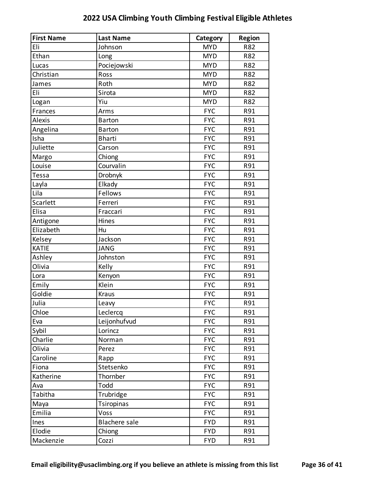| <b>First Name</b> | <b>Last Name</b>     | Category   | Region     |
|-------------------|----------------------|------------|------------|
| Eli               | Johnson              | <b>MYD</b> | <b>R82</b> |
| Ethan             | Long                 | <b>MYD</b> | R82        |
| Lucas             | Pociejowski          | <b>MYD</b> | R82        |
| Christian         | Ross                 | <b>MYD</b> | R82        |
| James             | Roth                 | <b>MYD</b> | R82        |
| Eli               | Sirota               | <b>MYD</b> | R82        |
| Logan             | Yiu                  | <b>MYD</b> | R82        |
| Frances           | Arms                 | <b>FYC</b> | R91        |
| Alexis            | <b>Barton</b>        | <b>FYC</b> | R91        |
| Angelina          | <b>Barton</b>        | <b>FYC</b> | R91        |
| Isha              | <b>Bharti</b>        | <b>FYC</b> | R91        |
| Juliette          | Carson               | <b>FYC</b> | R91        |
| Margo             | Chiong               | <b>FYC</b> | R91        |
| Louise            | Courvalin            | <b>FYC</b> | R91        |
| Tessa             | Drobnyk              | <b>FYC</b> | R91        |
| Layla             | Elkady               | <b>FYC</b> | R91        |
| Lila              | Fellows              | <b>FYC</b> | R91        |
| Scarlett          | Ferreri              | <b>FYC</b> | R91        |
| Elisa             | Fraccari             | <b>FYC</b> | R91        |
| Antigone          | Hines                | <b>FYC</b> | R91        |
| Elizabeth         | Hu                   | <b>FYC</b> | R91        |
| Kelsey            | Jackson              | <b>FYC</b> | R91        |
| <b>KATIE</b>      | <b>JANG</b>          | <b>FYC</b> | R91        |
| Ashley            | Johnston             | <b>FYC</b> | R91        |
| Olivia            | Kelly                | <b>FYC</b> | R91        |
| Lora              | Kenyon               | <b>FYC</b> | R91        |
| Emily             | Klein                | <b>FYC</b> | R91        |
| Goldie            | Kraus                | <b>FYC</b> | R91        |
| Julia             | Leavy                | <b>FYC</b> | R91        |
| Chloe             | Leclercq             | <b>FYC</b> | R91        |
| Eva               | Leijonhufvud         | <b>FYC</b> | R91        |
| Sybil             | Lorincz              | <b>FYC</b> | R91        |
| Charlie           | Norman               | <b>FYC</b> | R91        |
| Olivia            | Perez                | <b>FYC</b> | R91        |
| Caroline          | Rapp                 | <b>FYC</b> | R91        |
| Fiona             | Stetsenko            | <b>FYC</b> | R91        |
| Katherine         | Thornber             | <b>FYC</b> | R91        |
| Ava               | Todd                 | <b>FYC</b> | R91        |
| Tabitha           | Trubridge            | <b>FYC</b> | R91        |
| Maya              | Tsiropinas           | <b>FYC</b> | R91        |
| Emilia            | Voss                 | <b>FYC</b> | R91        |
| Ines              | <b>Blachere</b> sale | <b>FYD</b> | R91        |
| Elodie            | Chiong               | <b>FYD</b> | R91        |
| Mackenzie         | Cozzi                | <b>FYD</b> | R91        |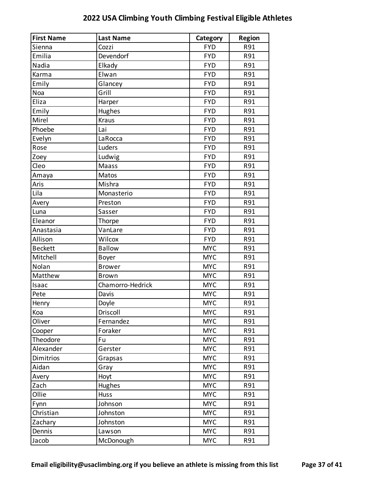| <b>First Name</b> | <b>Last Name</b> | Category   | <b>Region</b> |
|-------------------|------------------|------------|---------------|
| Sienna            | Cozzi            | <b>FYD</b> | R91           |
| Emilia            | Devendorf        | <b>FYD</b> | R91           |
| Nadia             | Elkady           | <b>FYD</b> | R91           |
| Karma             | Elwan            | <b>FYD</b> | R91           |
| Emily             | Glancey          | <b>FYD</b> | R91           |
| Noa               | Grill            | <b>FYD</b> | R91           |
| Eliza             | Harper           | <b>FYD</b> | R91           |
| Emily             | Hughes           | <b>FYD</b> | R91           |
| Mirel             | <b>Kraus</b>     | <b>FYD</b> | R91           |
| Phoebe            | Lai              | <b>FYD</b> | R91           |
| Evelyn            | LaRocca          | <b>FYD</b> | R91           |
| Rose              | Luders           | <b>FYD</b> | R91           |
| Zoey              | Ludwig           | <b>FYD</b> | R91           |
| Cleo              | Maass            | <b>FYD</b> | R91           |
| Amaya             | Matos            | <b>FYD</b> | R91           |
| Aris              | Mishra           | <b>FYD</b> | R91           |
| Lila              | Monasterio       | <b>FYD</b> | R91           |
| Avery             | Preston          | <b>FYD</b> | R91           |
| Luna              | Sasser           | <b>FYD</b> | R91           |
| Eleanor           | Thorpe           | <b>FYD</b> | R91           |
| Anastasia         | VanLare          | <b>FYD</b> | R91           |
| Allison           | Wilcox           | <b>FYD</b> | R91           |
| <b>Beckett</b>    | <b>Ballow</b>    | <b>MYC</b> | R91           |
| Mitchell          | Boyer            | <b>MYC</b> | R91           |
| Nolan             | <b>Brower</b>    | <b>MYC</b> | R91           |
| Matthew           | <b>Brown</b>     | <b>MYC</b> | R91           |
| Isaac             | Chamorro-Hedrick | <b>MYC</b> | R91           |
| Pete              | Davis            | <b>MYC</b> | R91           |
| Henry             | Doyle            | <b>MYC</b> | R91           |
| Koa               | Driscoll         | <b>MYC</b> | R91           |
| Oliver            | Fernandez        | <b>MYC</b> | R91           |
| Cooper            | Foraker          | <b>MYC</b> | R91           |
| Theodore          | Fu               | <b>MYC</b> | R91           |
| Alexander         | Gerster          | <b>MYC</b> | R91           |
| Dimitrios         | Grapsas          | <b>MYC</b> | R91           |
| Aidan             | Gray             | <b>MYC</b> | R91           |
| Avery             | Hoyt             | <b>MYC</b> | R91           |
| Zach              | Hughes           | <b>MYC</b> | R91           |
| Ollie             | Huss             | <b>MYC</b> | R91           |
| Fynn              | Johnson          | <b>MYC</b> | R91           |
| Christian         | Johnston         | <b>MYC</b> | R91           |
| Zachary           | Johnston         | <b>MYC</b> | R91           |
| Dennis            | Lawson           | <b>MYC</b> | R91           |
| Jacob             | McDonough        | <b>MYC</b> | R91           |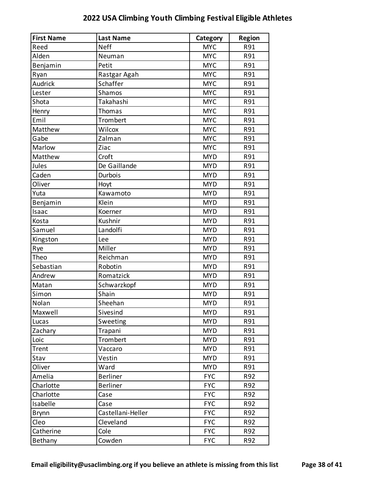| <b>First Name</b> | <b>Last Name</b>  | Category   | <b>Region</b> |
|-------------------|-------------------|------------|---------------|
| Reed              | <b>Neff</b>       | <b>MYC</b> | R91           |
| Alden             | Neuman            | <b>MYC</b> | R91           |
| Benjamin          | Petit             | <b>MYC</b> | R91           |
| Ryan              | Rastgar Agah      | <b>MYC</b> | R91           |
| Audrick           | Schaffer          | <b>MYC</b> | R91           |
| Lester            | Shamos            | <b>MYC</b> | R91           |
| Shota             | Takahashi         | <b>MYC</b> | R91           |
| Henry             | Thomas            | <b>MYC</b> | R91           |
| Emil              | Trombert          | <b>MYC</b> | R91           |
| Matthew           | Wilcox            | <b>MYC</b> | R91           |
| Gabe              | Zalman            | <b>MYC</b> | R91           |
| Marlow            | Ziac              | <b>MYC</b> | R91           |
| Matthew           | Croft             | <b>MYD</b> | R91           |
| Jules             | De Gaillande      | <b>MYD</b> | R91           |
| Caden             | Durbois           | <b>MYD</b> | R91           |
| Oliver            | Hoyt              | <b>MYD</b> | R91           |
| Yuta              | Kawamoto          | <b>MYD</b> | R91           |
| Benjamin          | Klein             | <b>MYD</b> | R91           |
| Isaac             | Koerner           | <b>MYD</b> | R91           |
| Kosta             | Kushnir           | <b>MYD</b> | R91           |
| Samuel            | Landolfi          | <b>MYD</b> | R91           |
| Kingston          | Lee               | <b>MYD</b> | R91           |
| Rye               | Miller            | <b>MYD</b> | R91           |
| Theo              | Reichman          | <b>MYD</b> | R91           |
| Sebastian         | Robotin           | <b>MYD</b> | R91           |
| Andrew            | Romatzick         | <b>MYD</b> | R91           |
| Matan             | Schwarzkopf       | <b>MYD</b> | R91           |
| Simon             | Shain             | <b>MYD</b> | R91           |
| Nolan             | Sheehan           | <b>MYD</b> | R91           |
| Maxwell           | Sivesind          | <b>MYD</b> | R91           |
| Lucas             | Sweeting          | <b>MYD</b> | R91           |
| Zachary           | Trapani           | <b>MYD</b> | R91           |
| Loic              | Trombert          | <b>MYD</b> | R91           |
| Trent             | Vaccaro           | <b>MYD</b> | R91           |
| Stav              | Vestin            | <b>MYD</b> | R91           |
| Oliver            | Ward              | <b>MYD</b> | R91           |
| Amelia            | <b>Berliner</b>   | <b>FYC</b> | R92           |
| Charlotte         | <b>Berliner</b>   | <b>FYC</b> | R92           |
| Charlotte         | Case              | <b>FYC</b> | R92           |
| Isabelle          | Case              | <b>FYC</b> | R92           |
| <b>Brynn</b>      | Castellani-Heller | <b>FYC</b> | R92           |
| Cleo              | Cleveland         | <b>FYC</b> | R92           |
| Catherine         | Cole              | <b>FYC</b> | R92           |
| Bethany           | Cowden            | <b>FYC</b> | R92           |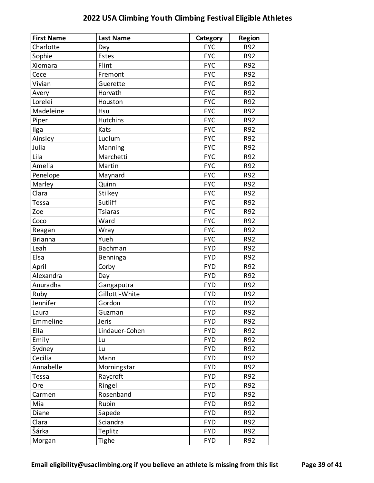| <b>First Name</b> | <b>Last Name</b> | Category   | <b>Region</b> |
|-------------------|------------------|------------|---------------|
| Charlotte         | Day              | <b>FYC</b> | R92           |
| Sophie            | Estes            | <b>FYC</b> | R92           |
| Xiomara           | Flint            | <b>FYC</b> | R92           |
| Cece              | Fremont          | <b>FYC</b> | R92           |
| Vivian            | Guerette         | <b>FYC</b> | R92           |
| Avery             | Horvath          | <b>FYC</b> | R92           |
| Lorelei           | Houston          | <b>FYC</b> | R92           |
| Madeleine         | Hsu              | <b>FYC</b> | R92           |
| Piper             | <b>Hutchins</b>  | <b>FYC</b> | R92           |
| Ilga              | Kats             | <b>FYC</b> | R92           |
| Ainsley           | Ludlum           | <b>FYC</b> | R92           |
| Julia             | Manning          | <b>FYC</b> | R92           |
| Lila              | Marchetti        | <b>FYC</b> | R92           |
| Amelia            | Martin           | <b>FYC</b> | R92           |
| Penelope          | Maynard          | <b>FYC</b> | R92           |
| Marley            | Quinn            | <b>FYC</b> | R92           |
| Clara             | Stilkey          | <b>FYC</b> | R92           |
| Tessa             | Sutliff          | <b>FYC</b> | R92           |
| Zoe               | <b>Tsiaras</b>   | <b>FYC</b> | R92           |
| Coco              | Ward             | <b>FYC</b> | R92           |
| Reagan            | Wray             | <b>FYC</b> | R92           |
| <b>Brianna</b>    | Yueh             | <b>FYC</b> | R92           |
| Leah              | Bachman          | <b>FYD</b> | R92           |
| Elsa              | Benninga         | <b>FYD</b> | R92           |
| April             | Corby            | <b>FYD</b> | R92           |
| Alexandra         | Day              | <b>FYD</b> | R92           |
| Anuradha          | Gangaputra       | <b>FYD</b> | R92           |
| Ruby              | Gillotti-White   | <b>FYD</b> | R92           |
| Jennifer          | Gordon           | <b>FYD</b> | R92           |
| Laura             | Guzman           | <b>FYD</b> | R92           |
| Emmeline          | Jeris            | <b>FYD</b> | R92           |
| Ella              | Lindauer-Cohen   | <b>FYD</b> | R92           |
| Emily             | Lu               | <b>FYD</b> | R92           |
| Sydney            | Lu               | <b>FYD</b> | R92           |
| Cecilia           | Mann             | <b>FYD</b> | R92           |
| Annabelle         | Morningstar      | <b>FYD</b> | R92           |
| Tessa             | Raycroft         | <b>FYD</b> | R92           |
| Ore               | Ringel           | <b>FYD</b> | R92           |
| Carmen            | Rosenband        | <b>FYD</b> | R92           |
| Mia               | Rubin            | <b>FYD</b> | R92           |
| Diane             | Sapede           | <b>FYD</b> | R92           |
| Clara             | Sciandra         | <b>FYD</b> | R92           |
| Šárka             | Teplitz          | <b>FYD</b> | R92           |
| Morgan            | Tighe            | <b>FYD</b> | R92           |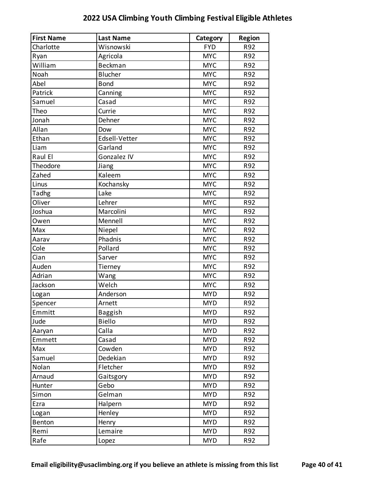| <b>First Name</b> | <b>Last Name</b> | Category   | <b>Region</b> |
|-------------------|------------------|------------|---------------|
| Charlotte         | Wisnowski        | <b>FYD</b> | R92           |
| Ryan              | Agricola         | <b>MYC</b> | R92           |
| William           | Beckman          | <b>MYC</b> | R92           |
| Noah              | <b>Blucher</b>   | <b>MYC</b> | R92           |
| Abel              | <b>Bond</b>      | <b>MYC</b> | R92           |
| Patrick           | Canning          | <b>MYC</b> | R92           |
| Samuel            | Casad            | <b>MYC</b> | R92           |
| Theo              | Currie           | <b>MYC</b> | R92           |
| Jonah             | Dehner           | <b>MYC</b> | R92           |
| Allan             | Dow              | <b>MYC</b> | R92           |
| Ethan             | Edsell-Vetter    | <b>MYC</b> | R92           |
| Liam              | Garland          | <b>MYC</b> | R92           |
| Raul El           | Gonzalez IV      | <b>MYC</b> | R92           |
| Theodore          | Jiang            | <b>MYC</b> | R92           |
| Zahed             | Kaleem           | <b>MYC</b> | R92           |
| Linus             | Kochansky        | <b>MYC</b> | R92           |
| Tadhg             | Lake             | <b>MYC</b> | R92           |
| Oliver            | Lehrer           | <b>MYC</b> | R92           |
| Joshua            | Marcolini        | <b>MYC</b> | R92           |
| Owen              | Mennell          | <b>MYC</b> | R92           |
| Max               | Niepel           | <b>MYC</b> | R92           |
| Aarav             | Phadnis          | <b>MYC</b> | R92           |
| Cole              | Pollard          | <b>MYC</b> | R92           |
| Cian              | Sarver           | <b>MYC</b> | R92           |
| Auden             | Tierney          | <b>MYC</b> | R92           |
| Adrian            | Wang             | <b>MYC</b> | R92           |
| Jackson           | Welch            | <b>MYC</b> | R92           |
| Logan             | Anderson         | <b>MYD</b> | R92           |
| Spencer           | Arnett           | <b>MYD</b> | R92           |
| Emmitt            | <b>Baggish</b>   | <b>MYD</b> | R92           |
| Jude              | <b>Biello</b>    | <b>MYD</b> | R92           |
| Aaryan            | Calla            | <b>MYD</b> | R92           |
| Emmett            | Casad            | <b>MYD</b> | R92           |
| Max               | Cowden           | <b>MYD</b> | R92           |
| Samuel            | Dedekian         | <b>MYD</b> | R92           |
| Nolan             | Fletcher         | <b>MYD</b> | R92           |
| Arnaud            | Gaitsgory        | <b>MYD</b> | R92           |
| Hunter            | Gebo             | <b>MYD</b> | R92           |
| Simon             | Gelman           | <b>MYD</b> | R92           |
| Ezra              | Halpern          | <b>MYD</b> | R92           |
| Logan             | Henley           | <b>MYD</b> | R92           |
| Benton            | Henry            | <b>MYD</b> | R92           |
| Remi              | Lemaire          | <b>MYD</b> | R92           |
| Rafe              | Lopez            | <b>MYD</b> | R92           |